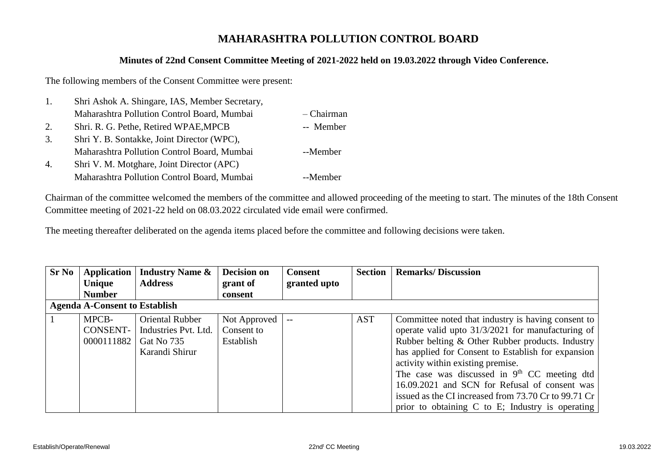## **MAHARASHTRA POLLUTION CONTROL BOARD**

## **Minutes of 22nd Consent Committee Meeting of 2021-2022 held on 19.03.2022 through Video Conference.**

The following members of the Consent Committee were present:

| 1. | Shri Ashok A. Shingare, IAS, Member Secretary, |              |
|----|------------------------------------------------|--------------|
|    | Maharashtra Pollution Control Board, Mumbai    | $-$ Chairman |
| 2. | Shri. R. G. Pethe, Retired WPAE, MPCB          | -- Member    |
| 3. | Shri Y. B. Sontakke, Joint Director (WPC),     |              |
|    | Maharashtra Pollution Control Board, Mumbai    | --Member     |
| 4. | Shri V. M. Motghare, Joint Director (APC)      |              |
|    | Maharashtra Pollution Control Board, Mumbai    | --Member     |

Chairman of the committee welcomed the members of the committee and allowed proceeding of the meeting to start. The minutes of the 18th Consent Committee meeting of 2021-22 held on 08.03.2022 circulated vide email were confirmed.

The meeting thereafter deliberated on the agenda items placed before the committee and following decisions were taken.

| <b>Sr No</b> | <b>Application</b><br><b>Unique</b>  | <b>Industry Name &amp;</b><br><b>Address</b>                                   | <b>Decision on</b><br>grant of            | <b>Consent</b><br>granted upto | <b>Section</b> | <b>Remarks/Discussion</b>                                                                                                                                                                                                                                                                                                                                                                                                                                             |
|--------------|--------------------------------------|--------------------------------------------------------------------------------|-------------------------------------------|--------------------------------|----------------|-----------------------------------------------------------------------------------------------------------------------------------------------------------------------------------------------------------------------------------------------------------------------------------------------------------------------------------------------------------------------------------------------------------------------------------------------------------------------|
|              | <b>Number</b>                        |                                                                                | consent                                   |                                |                |                                                                                                                                                                                                                                                                                                                                                                                                                                                                       |
|              | <b>Agenda A-Consent to Establish</b> |                                                                                |                                           |                                |                |                                                                                                                                                                                                                                                                                                                                                                                                                                                                       |
|              | MPCB-<br>CONSENT-<br>0000111882      | <b>Oriental Rubber</b><br>Industries Pvt. Ltd.<br>Gat No 735<br>Karandi Shirur | Not Approved  <br>Consent to<br>Establish | $ -$                           | <b>AST</b>     | Committee noted that industry is having consent to<br>operate valid upto 31/3/2021 for manufacturing of<br>Rubber belting & Other Rubber products. Industry<br>has applied for Consent to Establish for expansion<br>activity within existing premise.<br>The case was discussed in $9th$ CC meeting dtd<br>16.09.2021 and SCN for Refusal of consent was<br>issued as the CI increased from 73.70 Cr to 99.71 Cr<br>prior to obtaining C to E; Industry is operating |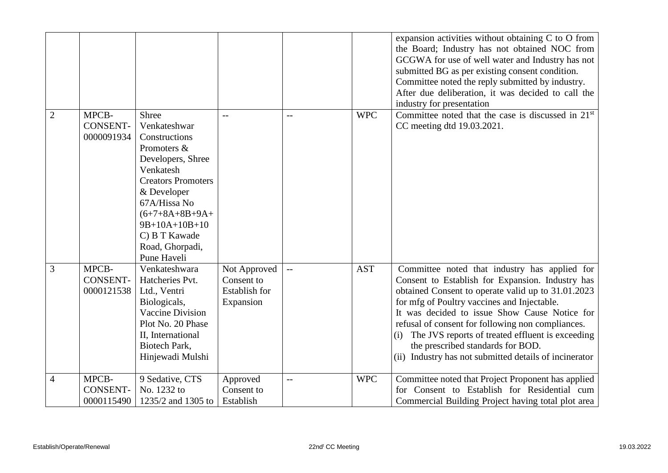|                |                                        |                                                                                                                                                                                                                                                    |                                                                 |                          |            | expansion activities without obtaining C to O from<br>the Board; Industry has not obtained NOC from<br>GCGWA for use of well water and Industry has not<br>submitted BG as per existing consent condition.<br>Committee noted the reply submitted by industry.<br>After due deliberation, it was decided to call the<br>industry for presentation                                                                                                                      |
|----------------|----------------------------------------|----------------------------------------------------------------------------------------------------------------------------------------------------------------------------------------------------------------------------------------------------|-----------------------------------------------------------------|--------------------------|------------|------------------------------------------------------------------------------------------------------------------------------------------------------------------------------------------------------------------------------------------------------------------------------------------------------------------------------------------------------------------------------------------------------------------------------------------------------------------------|
| $\overline{2}$ | MPCB-<br><b>CONSENT-</b><br>0000091934 | <b>Shree</b><br>Venkateshwar<br>Constructions<br>Promoters &<br>Developers, Shree<br>Venkatesh<br><b>Creators Promoters</b><br>& Developer<br>67A/Hissa No<br>$(6+7+8A+8B+9A+$<br>9B+10A+10B+10<br>C) B T Kawade<br>Road, Ghorpadi,<br>Pune Haveli | $-$                                                             | $-$                      | <b>WPC</b> | Committee noted that the case is discussed in $21st$<br>CC meeting dtd 19.03.2021.                                                                                                                                                                                                                                                                                                                                                                                     |
| 3              | MPCB-<br><b>CONSENT-</b><br>0000121538 | Venkateshwara<br>Hatcheries Pvt.<br>Ltd., Ventri<br>Biologicals,<br><b>Vaccine Division</b><br>Plot No. 20 Phase<br>II, International<br>Biotech Park,<br>Hinjewadi Mulshi                                                                         | Not Approved<br>Consent to<br><b>Establish for</b><br>Expansion | $\overline{\phantom{a}}$ | <b>AST</b> | Committee noted that industry has applied for<br>Consent to Establish for Expansion. Industry has<br>obtained Consent to operate valid up to 31.01.2023<br>for mfg of Poultry vaccines and Injectable.<br>It was decided to issue Show Cause Notice for<br>refusal of consent for following non compliances.<br>The JVS reports of treated effluent is exceeding<br>(i)<br>the prescribed standards for BOD.<br>(ii) Industry has not submitted details of incinerator |
| $\overline{4}$ | MPCB-<br><b>CONSENT-</b><br>0000115490 | 9 Sedative, CTS<br>No. 1232 to<br>1235/2 and 1305 to                                                                                                                                                                                               | Approved<br>Consent to<br>Establish                             | $-$                      | <b>WPC</b> | Committee noted that Project Proponent has applied<br>for Consent to Establish for Residential cum<br>Commercial Building Project having total plot area                                                                                                                                                                                                                                                                                                               |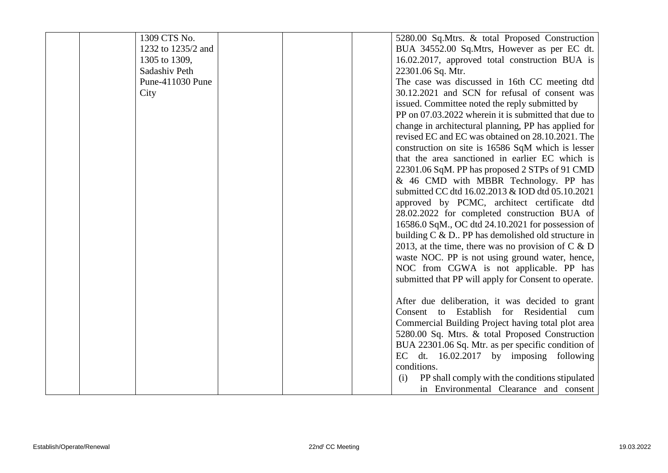| 1232 to 1235/2 and<br>BUA 34552.00 Sq.Mtrs, However as per EC dt.<br>16.02.2017, approved total construction BUA is<br>1305 to 1309,<br>Sadashiv Peth<br>22301.06 Sq. Mtr.<br>The case was discussed in 16th CC meeting dtd<br>Pune-411030 Pune |     |
|-------------------------------------------------------------------------------------------------------------------------------------------------------------------------------------------------------------------------------------------------|-----|
|                                                                                                                                                                                                                                                 |     |
|                                                                                                                                                                                                                                                 |     |
|                                                                                                                                                                                                                                                 |     |
|                                                                                                                                                                                                                                                 |     |
| 30.12.2021 and SCN for refusal of consent was<br>City                                                                                                                                                                                           |     |
| issued. Committee noted the reply submitted by                                                                                                                                                                                                  |     |
| PP on 07.03.2022 wherein it is submitted that due to                                                                                                                                                                                            |     |
| change in architectural planning, PP has applied for                                                                                                                                                                                            |     |
| revised EC and EC was obtained on 28.10.2021. The                                                                                                                                                                                               |     |
| construction on site is 16586 SqM which is lesser                                                                                                                                                                                               |     |
| that the area sanctioned in earlier EC which is                                                                                                                                                                                                 |     |
| 22301.06 SqM. PP has proposed 2 STPs of 91 CMD                                                                                                                                                                                                  |     |
| & 46 CMD with MBBR Technology. PP has                                                                                                                                                                                                           |     |
| submitted CC dtd 16.02.2013 & IOD dtd 05.10.2021                                                                                                                                                                                                |     |
| approved by PCMC, architect certificate dtd                                                                                                                                                                                                     |     |
| 28.02.2022 for completed construction BUA of                                                                                                                                                                                                    |     |
| 16586.0 SqM., OC dtd 24.10.2021 for possession of                                                                                                                                                                                               |     |
| building $C \& D$ . PP has demolished old structure in                                                                                                                                                                                          |     |
| 2013, at the time, there was no provision of $C \& D$                                                                                                                                                                                           |     |
| waste NOC. PP is not using ground water, hence,                                                                                                                                                                                                 |     |
| NOC from CGWA is not applicable. PP has                                                                                                                                                                                                         |     |
| submitted that PP will apply for Consent to operate.                                                                                                                                                                                            |     |
|                                                                                                                                                                                                                                                 |     |
| After due deliberation, it was decided to grant                                                                                                                                                                                                 |     |
| Consent to Establish for Residential                                                                                                                                                                                                            | cum |
| Commercial Building Project having total plot area                                                                                                                                                                                              |     |
| 5280.00 Sq. Mtrs. & total Proposed Construction                                                                                                                                                                                                 |     |
| BUA 22301.06 Sq. Mtr. as per specific condition of<br>EC dt. $16.02.2017$ by imposing following                                                                                                                                                 |     |
| conditions.                                                                                                                                                                                                                                     |     |
| PP shall comply with the conditions stipulated<br>(i)                                                                                                                                                                                           |     |
| in Environmental Clearance and consent                                                                                                                                                                                                          |     |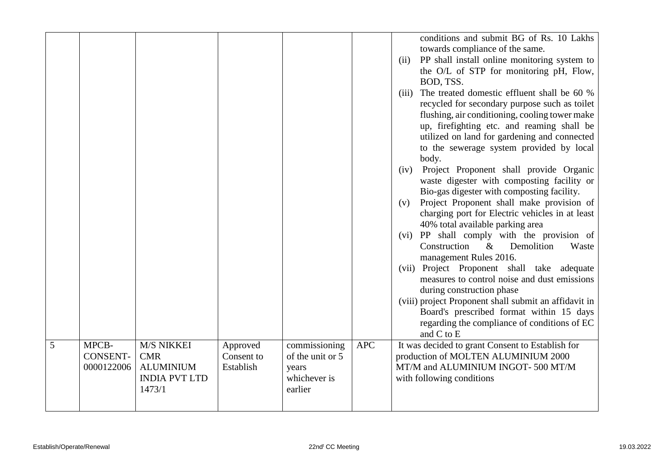|   |                 |                      |            |                  |            |       | conditions and submit BG of Rs. 10 Lakhs              |
|---|-----------------|----------------------|------------|------------------|------------|-------|-------------------------------------------------------|
|   |                 |                      |            |                  |            |       |                                                       |
|   |                 |                      |            |                  |            |       | towards compliance of the same.                       |
|   |                 |                      |            |                  |            | (ii)  | PP shall install online monitoring system to          |
|   |                 |                      |            |                  |            |       | the O/L of STP for monitoring pH, Flow,               |
|   |                 |                      |            |                  |            |       | BOD, TSS.                                             |
|   |                 |                      |            |                  |            | (iii) | The treated domestic effluent shall be 60 %           |
|   |                 |                      |            |                  |            |       | recycled for secondary purpose such as toilet         |
|   |                 |                      |            |                  |            |       | flushing, air conditioning, cooling tower make        |
|   |                 |                      |            |                  |            |       | up, firefighting etc. and reaming shall be            |
|   |                 |                      |            |                  |            |       | utilized on land for gardening and connected          |
|   |                 |                      |            |                  |            |       | to the sewerage system provided by local<br>body.     |
|   |                 |                      |            |                  |            | (iv)  | Project Proponent shall provide Organic               |
|   |                 |                      |            |                  |            |       | waste digester with composting facility or            |
|   |                 |                      |            |                  |            |       | Bio-gas digester with composting facility.            |
|   |                 |                      |            |                  |            | (v)   | Project Proponent shall make provision of             |
|   |                 |                      |            |                  |            |       | charging port for Electric vehicles in at least       |
|   |                 |                      |            |                  |            |       | 40% total available parking area                      |
|   |                 |                      |            |                  |            |       | (vi) PP shall comply with the provision of            |
|   |                 |                      |            |                  |            |       | Construction<br>$\&$<br>Demolition<br>Waste           |
|   |                 |                      |            |                  |            |       | management Rules 2016.                                |
|   |                 |                      |            |                  |            |       | (vii) Project Proponent shall take adequate           |
|   |                 |                      |            |                  |            |       | measures to control noise and dust emissions          |
|   |                 |                      |            |                  |            |       | during construction phase                             |
|   |                 |                      |            |                  |            |       | (viii) project Proponent shall submit an affidavit in |
|   |                 |                      |            |                  |            |       | Board's prescribed format within 15 days              |
|   |                 |                      |            |                  |            |       | regarding the compliance of conditions of EC          |
|   |                 |                      |            |                  |            |       | and C to E                                            |
| 5 | MPCB-           | M/S NIKKEI           | Approved   | commissioning    | <b>APC</b> |       | It was decided to grant Consent to Establish for      |
|   | <b>CONSENT-</b> | <b>CMR</b>           | Consent to | of the unit or 5 |            |       | production of MOLTEN ALUMINIUM 2000                   |
|   | 0000122006      | <b>ALUMINIUM</b>     | Establish  | years            |            |       | MT/M and ALUMINIUM INGOT-500 MT/M                     |
|   |                 | <b>INDIA PVT LTD</b> |            | whichever is     |            |       | with following conditions                             |
|   |                 | 1473/1               |            | earlier          |            |       |                                                       |
|   |                 |                      |            |                  |            |       |                                                       |
|   |                 |                      |            |                  |            |       |                                                       |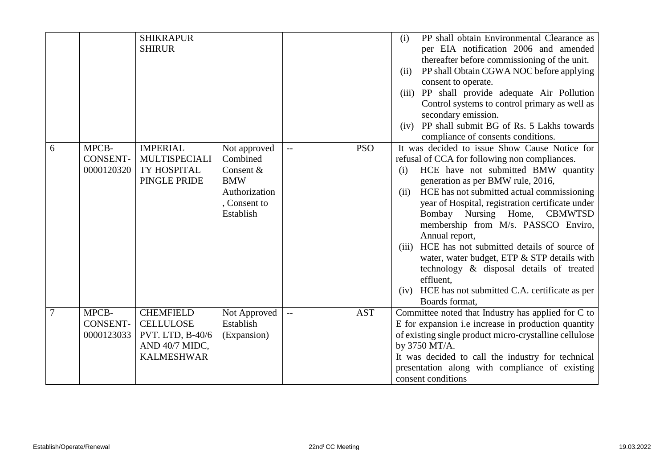|                |                                        | <b>SHIKRAPUR</b><br><b>SHIRUR</b>                                                               |                                                                                                   |                          |            | PP shall obtain Environmental Clearance as<br>(i)<br>per EIA notification 2006 and amended<br>thereafter before commissioning of the unit.<br>PP shall Obtain CGWA NOC before applying<br>(ii)<br>consent to operate.<br>(iii) PP shall provide adequate Air Pollution<br>Control systems to control primary as well as<br>secondary emission.<br>PP shall submit BG of Rs. 5 Lakhs towards<br>(iv)<br>compliance of consents conditions.                                                                                                                                                                                      |
|----------------|----------------------------------------|-------------------------------------------------------------------------------------------------|---------------------------------------------------------------------------------------------------|--------------------------|------------|--------------------------------------------------------------------------------------------------------------------------------------------------------------------------------------------------------------------------------------------------------------------------------------------------------------------------------------------------------------------------------------------------------------------------------------------------------------------------------------------------------------------------------------------------------------------------------------------------------------------------------|
| 6              | MPCB-<br><b>CONSENT-</b><br>0000120320 | <b>IMPERIAL</b><br><b>MULTISPECIALI</b><br>TY HOSPITAL<br>PINGLE PRIDE                          | Not approved<br>Combined<br>Consent &<br><b>BMW</b><br>Authorization<br>, Consent to<br>Establish |                          | <b>PSO</b> | It was decided to issue Show Cause Notice for<br>refusal of CCA for following non compliances.<br>HCE have not submitted BMW quantity<br>(i)<br>generation as per BMW rule, 2016,<br>HCE has not submitted actual commissioning<br>(ii)<br>year of Hospital, registration certificate under<br>Bombay Nursing Home, CBMWTSD<br>membership from M/s. PASSCO Enviro,<br>Annual report,<br>HCE has not submitted details of source of<br>(iii)<br>water, water budget, ETP & STP details with<br>technology & disposal details of treated<br>effluent.<br>HCE has not submitted C.A. certificate as per<br>(iv)<br>Boards format, |
| $\overline{7}$ | MPCB-<br><b>CONSENT-</b><br>0000123033 | <b>CHEMFIELD</b><br><b>CELLULOSE</b><br>PVT. LTD, B-40/6<br>AND 40/7 MIDC,<br><b>KALMESHWAR</b> | Not Approved<br>Establish<br>(Expansion)                                                          | $\overline{\phantom{0}}$ | <b>AST</b> | Committee noted that Industry has applied for C to<br>E for expansion i.e increase in production quantity<br>of existing single product micro-crystalline cellulose<br>by 3750 MT/A.<br>It was decided to call the industry for technical<br>presentation along with compliance of existing<br>consent conditions                                                                                                                                                                                                                                                                                                              |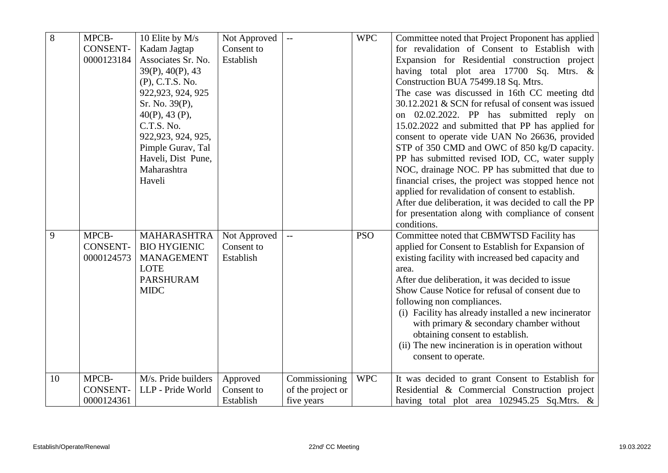| $\overline{8}$ | MPCB-           | 10 Elite by M/s     | Not Approved | $-$                      | <b>WPC</b> | Committee noted that Project Proponent has applied    |
|----------------|-----------------|---------------------|--------------|--------------------------|------------|-------------------------------------------------------|
|                | <b>CONSENT-</b> | Kadam Jagtap        | Consent to   |                          |            | for revalidation of Consent to Establish with         |
|                | 0000123184      | Associates Sr. No.  | Establish    |                          |            | Expansion for Residential construction project        |
|                |                 | 39(P), 40(P), 43    |              |                          |            | having total plot area 17700 Sq. Mtrs. &              |
|                |                 | (P), C.T.S. No.     |              |                          |            | Construction BUA 75499.18 Sq. Mtrs.                   |
|                |                 | 922, 923, 924, 925  |              |                          |            | The case was discussed in 16th CC meeting dtd         |
|                |                 | Sr. No. 39(P),      |              |                          |            | 30.12.2021 & SCN for refusal of consent was issued    |
|                |                 | $40(P)$ , 43 (P),   |              |                          |            | on 02.02.2022. PP has submitted reply on              |
|                |                 | C.T.S. No.          |              |                          |            | 15.02.2022 and submitted that PP has applied for      |
|                |                 | 922, 923, 924, 925, |              |                          |            | consent to operate vide UAN No 26636, provided        |
|                |                 | Pimple Gurav, Tal   |              |                          |            | STP of 350 CMD and OWC of 850 kg/D capacity.          |
|                |                 | Haveli, Dist Pune,  |              |                          |            | PP has submitted revised IOD, CC, water supply        |
|                |                 | Maharashtra         |              |                          |            | NOC, drainage NOC. PP has submitted that due to       |
|                |                 | Haveli              |              |                          |            | financial crises, the project was stopped hence not   |
|                |                 |                     |              |                          |            | applied for revalidation of consent to establish.     |
|                |                 |                     |              |                          |            | After due deliberation, it was decided to call the PP |
|                |                 |                     |              |                          |            | for presentation along with compliance of consent     |
|                |                 |                     |              |                          |            | conditions.                                           |
| 9              | MPCB-           | MAHARASHTRA         | Not Approved | $\overline{\phantom{m}}$ | <b>PSO</b> | Committee noted that CBMWTSD Facility has             |
|                | <b>CONSENT-</b> | <b>BIO HYGIENIC</b> | Consent to   |                          |            | applied for Consent to Establish for Expansion of     |
|                | 0000124573      | <b>MANAGEMENT</b>   | Establish    |                          |            | existing facility with increased bed capacity and     |
|                |                 | <b>LOTE</b>         |              |                          |            | area.                                                 |
|                |                 | <b>PARSHURAM</b>    |              |                          |            | After due deliberation, it was decided to issue       |
|                |                 | <b>MIDC</b>         |              |                          |            | Show Cause Notice for refusal of consent due to       |
|                |                 |                     |              |                          |            | following non compliances.                            |
|                |                 |                     |              |                          |            | (i) Facility has already installed a new incinerator  |
|                |                 |                     |              |                          |            | with primary $\&$ secondary chamber without           |
|                |                 |                     |              |                          |            | obtaining consent to establish.                       |
|                |                 |                     |              |                          |            | (ii) The new incineration is in operation without     |
|                |                 |                     |              |                          |            | consent to operate.                                   |
| 10             | MPCB-           | M/s. Pride builders | Approved     | Commissioning            | <b>WPC</b> | It was decided to grant Consent to Establish for      |
|                | <b>CONSENT-</b> | LLP - Pride World   | Consent to   | of the project or        |            | Residential & Commercial Construction project         |
|                | 0000124361      |                     | Establish    | five years               |            | having total plot area 102945.25 Sq.Mtrs. &           |
|                |                 |                     |              |                          |            |                                                       |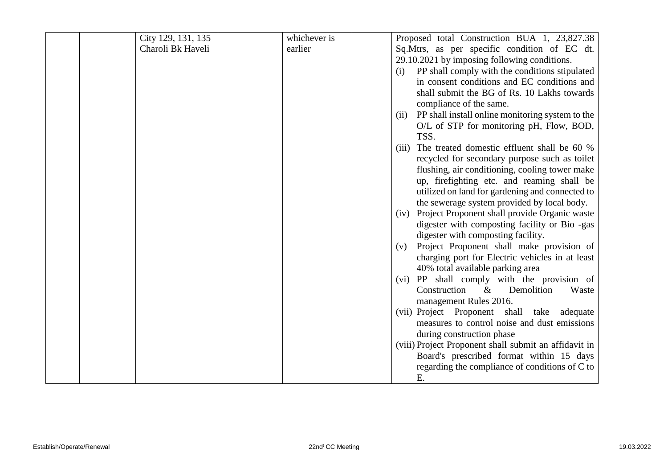| City 129, 131, 135 | whichever is | Proposed total Construction BUA 1, 23,827.38                                        |
|--------------------|--------------|-------------------------------------------------------------------------------------|
| Charoli Bk Haveli  | earlier      | Sq.Mtrs, as per specific condition of EC dt.                                        |
|                    |              | 29.10.2021 by imposing following conditions.                                        |
|                    |              | PP shall comply with the conditions stipulated<br>(i)                               |
|                    |              | in consent conditions and EC conditions and                                         |
|                    |              | shall submit the BG of Rs. 10 Lakhs towards                                         |
|                    |              | compliance of the same.                                                             |
|                    |              | PP shall install online monitoring system to the<br>(ii)                            |
|                    |              | O/L of STP for monitoring pH, Flow, BOD,                                            |
|                    |              | TSS.                                                                                |
|                    |              | The treated domestic effluent shall be 60 %<br>(iii)                                |
|                    |              | recycled for secondary purpose such as toilet                                       |
|                    |              | flushing, air conditioning, cooling tower make                                      |
|                    |              | up, firefighting etc. and reaming shall be                                          |
|                    |              | utilized on land for gardening and connected to                                     |
|                    |              | the sewerage system provided by local body.                                         |
|                    |              | Project Proponent shall provide Organic waste<br>(iv)                               |
|                    |              | digester with composting facility or Bio -gas                                       |
|                    |              | digester with composting facility.                                                  |
|                    |              | Project Proponent shall make provision of<br>(v)                                    |
|                    |              | charging port for Electric vehicles in at least<br>40% total available parking area |
|                    |              | PP shall comply with the provision of<br>(vi)                                       |
|                    |              | Construction<br>$\&$<br>Demolition<br>Waste                                         |
|                    |              | management Rules 2016.                                                              |
|                    |              | (vii) Project Proponent shall take adequate                                         |
|                    |              | measures to control noise and dust emissions                                        |
|                    |              | during construction phase                                                           |
|                    |              | (viii) Project Proponent shall submit an affidavit in                               |
|                    |              | Board's prescribed format within 15 days                                            |
|                    |              | regarding the compliance of conditions of C to                                      |
|                    |              | Ε.                                                                                  |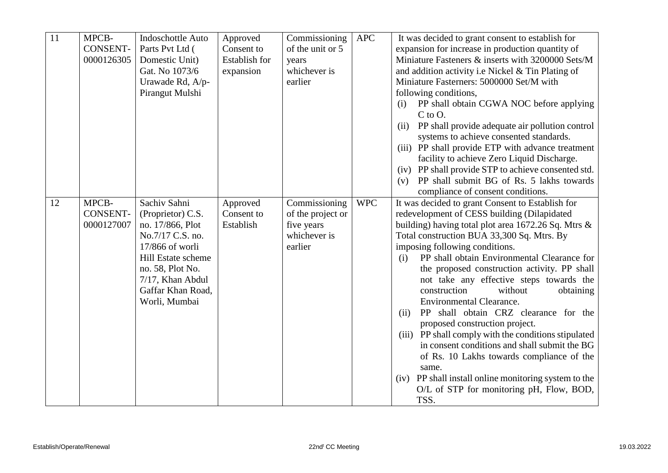| 11 | MPCB-           | Indoschottle Auto  | Approved      | Commissioning     | <b>APC</b> | It was decided to grant consent to establish for                |
|----|-----------------|--------------------|---------------|-------------------|------------|-----------------------------------------------------------------|
|    | <b>CONSENT-</b> | Parts Pvt Ltd (    | Consent to    | of the unit or 5  |            | expansion for increase in production quantity of                |
|    | 0000126305      | Domestic Unit)     | Establish for | years             |            | Miniature Fasteners & inserts with 3200000 Sets/M               |
|    |                 | Gat. No 1073/6     | expansion     | whichever is      |            | and addition activity i.e Nickel & Tin Plating of               |
|    |                 | Urawade Rd, A/p-   |               | earlier           |            | Miniature Fasterners: 5000000 Set/M with                        |
|    |                 | Pirangut Mulshi    |               |                   |            | following conditions,                                           |
|    |                 |                    |               |                   |            | PP shall obtain CGWA NOC before applying<br>(i)<br>$C$ to $O$ . |
|    |                 |                    |               |                   |            | PP shall provide adequate air pollution control<br>(ii)         |
|    |                 |                    |               |                   |            | systems to achieve consented standards.                         |
|    |                 |                    |               |                   |            | (iii) PP shall provide ETP with advance treatment               |
|    |                 |                    |               |                   |            | facility to achieve Zero Liquid Discharge.                      |
|    |                 |                    |               |                   |            | (iv) PP shall provide STP to achieve consented std.             |
|    |                 |                    |               |                   |            | PP shall submit BG of Rs. 5 lakhs towards<br>(v)                |
|    |                 |                    |               |                   |            | compliance of consent conditions.                               |
| 12 | MPCB-           | Sachiv Sahni       | Approved      | Commissioning     | <b>WPC</b> | It was decided to grant Consent to Establish for                |
|    | <b>CONSENT-</b> | (Proprietor) C.S.  | Consent to    | of the project or |            | redevelopment of CESS building (Dilapidated                     |
|    | 0000127007      | no. 17/866, Plot   | Establish     | five years        |            | building) having total plot area 1672.26 Sq. Mtrs &             |
|    |                 | No.7/17 C.S. no.   |               | whichever is      |            | Total construction BUA 33,300 Sq. Mtrs. By                      |
|    |                 | 17/866 of worli    |               | earlier           |            | imposing following conditions.                                  |
|    |                 | Hill Estate scheme |               |                   |            | PP shall obtain Environmental Clearance for<br>(i)              |
|    |                 | no. 58, Plot No.   |               |                   |            | the proposed construction activity. PP shall                    |
|    |                 | 7/17, Khan Abdul   |               |                   |            | not take any effective steps towards the                        |
|    |                 | Gaffar Khan Road,  |               |                   |            | construction<br>without<br>obtaining                            |
|    |                 | Worli, Mumbai      |               |                   |            | <b>Environmental Clearance.</b>                                 |
|    |                 |                    |               |                   |            | PP shall obtain CRZ clearance for the<br>(ii)                   |
|    |                 |                    |               |                   |            | proposed construction project.                                  |
|    |                 |                    |               |                   |            | (iii) PP shall comply with the conditions stipulated            |
|    |                 |                    |               |                   |            | in consent conditions and shall submit the BG                   |
|    |                 |                    |               |                   |            | of Rs. 10 Lakhs towards compliance of the                       |
|    |                 |                    |               |                   |            | same.                                                           |
|    |                 |                    |               |                   |            | PP shall install online monitoring system to the<br>(iv)        |
|    |                 |                    |               |                   |            | O/L of STP for monitoring pH, Flow, BOD,                        |
|    |                 |                    |               |                   |            | TSS.                                                            |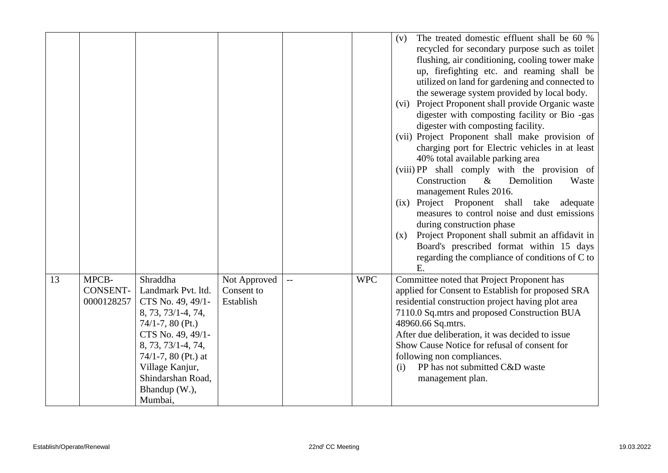|    |                 |                                    |              |            | The treated domestic effluent shall be 60 %<br>(v)    |
|----|-----------------|------------------------------------|--------------|------------|-------------------------------------------------------|
|    |                 |                                    |              |            | recycled for secondary purpose such as toilet         |
|    |                 |                                    |              |            | flushing, air conditioning, cooling tower make        |
|    |                 |                                    |              |            | up, firefighting etc. and reaming shall be            |
|    |                 |                                    |              |            | utilized on land for gardening and connected to       |
|    |                 |                                    |              |            | the sewerage system provided by local body.           |
|    |                 |                                    |              |            | Project Proponent shall provide Organic waste<br>(vi) |
|    |                 |                                    |              |            | digester with composting facility or Bio -gas         |
|    |                 |                                    |              |            | digester with composting facility.                    |
|    |                 |                                    |              |            | (vii) Project Proponent shall make provision of       |
|    |                 |                                    |              |            | charging port for Electric vehicles in at least       |
|    |                 |                                    |              |            | 40% total available parking area                      |
|    |                 |                                    |              |            | (viii) PP shall comply with the provision of          |
|    |                 |                                    |              |            | $\&$<br>Construction<br>Demolition<br>Waste           |
|    |                 |                                    |              |            | management Rules 2016.                                |
|    |                 |                                    |              |            | (ix) Project Proponent shall take<br>adequate         |
|    |                 |                                    |              |            | measures to control noise and dust emissions          |
|    |                 |                                    |              |            | during construction phase                             |
|    |                 |                                    |              |            | Project Proponent shall submit an affidavit in<br>(x) |
|    |                 |                                    |              |            | Board's prescribed format within 15 days              |
|    |                 |                                    |              |            | regarding the compliance of conditions of C to        |
|    |                 |                                    |              |            | E.                                                    |
| 13 | MPCB-           | Shraddha                           | Not Approved | <b>WPC</b> | Committee noted that Project Proponent has            |
|    | <b>CONSENT-</b> | Landmark Pvt. ltd.                 | Consent to   |            | applied for Consent to Establish for proposed SRA     |
|    | 0000128257      | CTS No. 49, 49/1-                  | Establish    |            | residential construction project having plot area     |
|    |                 | 8, 73, 73/1-4, 74,                 |              |            | 7110.0 Sq.mtrs and proposed Construction BUA          |
|    |                 | $74/1 - 7$ , 80 (Pt.)              |              |            | 48960.66 Sq.mtrs.                                     |
|    |                 | CTS No. 49, 49/1-                  |              |            | After due deliberation, it was decided to issue       |
|    |                 |                                    |              |            |                                                       |
|    |                 |                                    |              |            |                                                       |
|    |                 | 8, 73, 73/1-4, 74,                 |              |            | Show Cause Notice for refusal of consent for          |
|    |                 | 74/1-7, 80 (Pt.) at                |              |            | following non compliances.                            |
|    |                 | Village Kanjur,                    |              |            | PP has not submitted C&D waste<br>(i)                 |
|    |                 | Shindarshan Road,<br>Bhandup (W.), |              |            | management plan.                                      |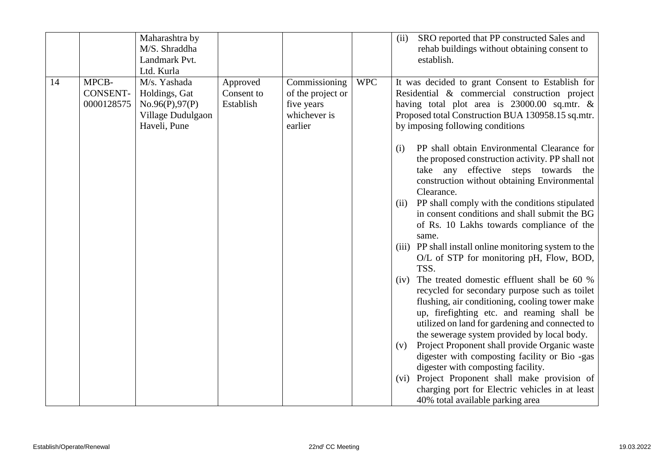|                                              | Maharashtra by<br>M/S. Shraddha<br>Landmark Pvt.<br>Ltd. Kurla                       |                                     |                                                                             |            | SRO reported that PP constructed Sales and<br>(ii)<br>rehab buildings without obtaining consent to<br>establish.                                                                                                                                                                                                                                                                                                                                                                                                                                                                                                                                                                                                                                                                                                                                                                                                                                                                                                                                                                                |
|----------------------------------------------|--------------------------------------------------------------------------------------|-------------------------------------|-----------------------------------------------------------------------------|------------|-------------------------------------------------------------------------------------------------------------------------------------------------------------------------------------------------------------------------------------------------------------------------------------------------------------------------------------------------------------------------------------------------------------------------------------------------------------------------------------------------------------------------------------------------------------------------------------------------------------------------------------------------------------------------------------------------------------------------------------------------------------------------------------------------------------------------------------------------------------------------------------------------------------------------------------------------------------------------------------------------------------------------------------------------------------------------------------------------|
| MPCB-<br>14<br><b>CONSENT-</b><br>0000128575 | M/s. Yashada<br>Holdings, Gat<br>No.96(P),97(P)<br>Village Dudulgaon<br>Haveli, Pune | Approved<br>Consent to<br>Establish | Commissioning<br>of the project or<br>five years<br>whichever is<br>earlier | <b>WPC</b> | It was decided to grant Consent to Establish for<br>Residential & commercial construction project<br>having total plot area is 23000.00 sq.mtr. &<br>Proposed total Construction BUA 130958.15 sq.mtr.<br>by imposing following conditions                                                                                                                                                                                                                                                                                                                                                                                                                                                                                                                                                                                                                                                                                                                                                                                                                                                      |
|                                              |                                                                                      |                                     |                                                                             |            | PP shall obtain Environmental Clearance for<br>(i)<br>the proposed construction activity. PP shall not<br>take any effective steps towards the<br>construction without obtaining Environmental<br>Clearance.<br>PP shall comply with the conditions stipulated<br>(i)<br>in consent conditions and shall submit the BG<br>of Rs. 10 Lakhs towards compliance of the<br>same.<br>(iii) PP shall install online monitoring system to the<br>O/L of STP for monitoring pH, Flow, BOD,<br>TSS.<br>The treated domestic effluent shall be 60 %<br>(iv)<br>recycled for secondary purpose such as toilet<br>flushing, air conditioning, cooling tower make<br>up, firefighting etc. and reaming shall be<br>utilized on land for gardening and connected to<br>the sewerage system provided by local body.<br>Project Proponent shall provide Organic waste<br>(v)<br>digester with composting facility or Bio -gas<br>digester with composting facility.<br>Project Proponent shall make provision of<br>(vi)<br>charging port for Electric vehicles in at least<br>40% total available parking area |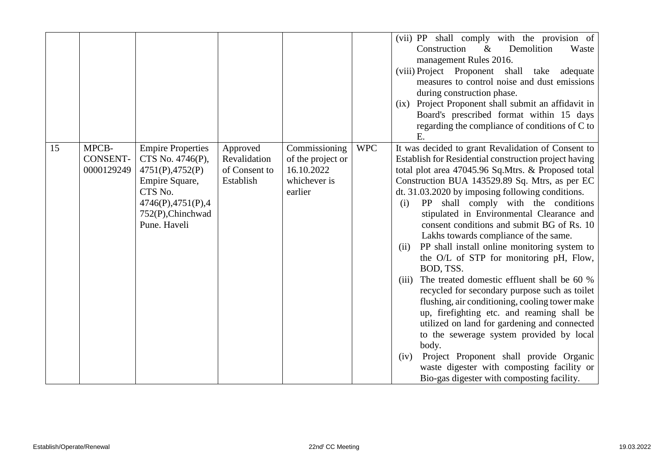|    |                                        |                                                                                                                                                           |                                                        |                                                                             |            | (vii) PP shall comply with the provision of<br>Construction<br>$\&$<br>Demolition<br>Waste<br>management Rules 2016.<br>(viii) Project Proponent shall<br>take<br>adequate<br>measures to control noise and dust emissions<br>during construction phase.<br>(ix) Project Proponent shall submit an affidavit in<br>Board's prescribed format within 15 days<br>regarding the compliance of conditions of C to<br>Ε.                                                                                                                                                                                                                                                                                                                                                                                                                                                                                                                                                                                                                    |
|----|----------------------------------------|-----------------------------------------------------------------------------------------------------------------------------------------------------------|--------------------------------------------------------|-----------------------------------------------------------------------------|------------|----------------------------------------------------------------------------------------------------------------------------------------------------------------------------------------------------------------------------------------------------------------------------------------------------------------------------------------------------------------------------------------------------------------------------------------------------------------------------------------------------------------------------------------------------------------------------------------------------------------------------------------------------------------------------------------------------------------------------------------------------------------------------------------------------------------------------------------------------------------------------------------------------------------------------------------------------------------------------------------------------------------------------------------|
| 15 | MPCB-<br><b>CONSENT-</b><br>0000129249 | <b>Empire Properties</b><br>CTS No. 4746(P),<br>4751(P), 4752(P)<br>Empire Square,<br>CTS No.<br>4746(P), 4751(P), 4<br>752(P), Chinchwad<br>Pune. Haveli | Approved<br>Revalidation<br>of Consent to<br>Establish | Commissioning<br>of the project or<br>16.10.2022<br>whichever is<br>earlier | <b>WPC</b> | It was decided to grant Revalidation of Consent to<br>Establish for Residential construction project having<br>total plot area 47045.96 Sq.Mtrs. & Proposed total<br>Construction BUA 143529.89 Sq. Mtrs, as per EC<br>dt. 31.03.2020 by imposing following conditions.<br>PP shall comply with the conditions<br>(i)<br>stipulated in Environmental Clearance and<br>consent conditions and submit BG of Rs. 10<br>Lakhs towards compliance of the same.<br>PP shall install online monitoring system to<br>(ii)<br>the O/L of STP for monitoring pH, Flow,<br>BOD, TSS.<br>The treated domestic effluent shall be 60 %<br>(iii)<br>recycled for secondary purpose such as toilet<br>flushing, air conditioning, cooling tower make<br>up, firefighting etc. and reaming shall be<br>utilized on land for gardening and connected<br>to the sewerage system provided by local<br>body.<br>Project Proponent shall provide Organic<br>(iv)<br>waste digester with composting facility or<br>Bio-gas digester with composting facility. |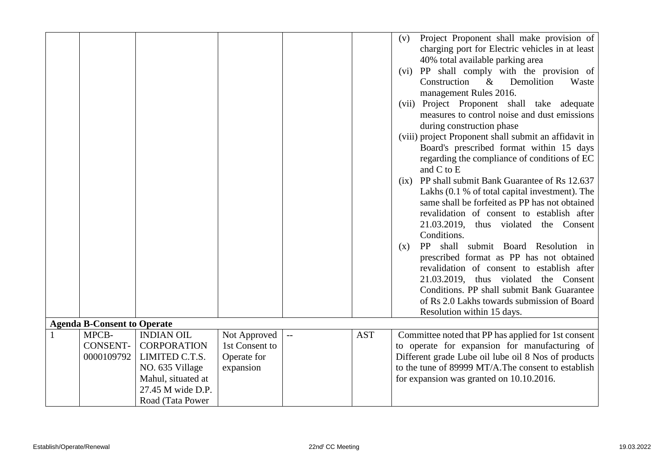|              |                                    |                    |                |            | Project Proponent shall make provision of<br>(v)      |
|--------------|------------------------------------|--------------------|----------------|------------|-------------------------------------------------------|
|              |                                    |                    |                |            | charging port for Electric vehicles in at least       |
|              |                                    |                    |                |            | 40% total available parking area                      |
|              |                                    |                    |                |            | (vi) PP shall comply with the provision of            |
|              |                                    |                    |                |            | Construction<br>$\&$<br>Demolition<br>Waste           |
|              |                                    |                    |                |            | management Rules 2016.                                |
|              |                                    |                    |                |            | (vii) Project Proponent shall take adequate           |
|              |                                    |                    |                |            | measures to control noise and dust emissions          |
|              |                                    |                    |                |            | during construction phase                             |
|              |                                    |                    |                |            | (viii) project Proponent shall submit an affidavit in |
|              |                                    |                    |                |            | Board's prescribed format within 15 days              |
|              |                                    |                    |                |            | regarding the compliance of conditions of EC          |
|              |                                    |                    |                |            | and C to E                                            |
|              |                                    |                    |                |            | PP shall submit Bank Guarantee of Rs 12.637<br>(ix)   |
|              |                                    |                    |                |            | Lakhs (0.1 % of total capital investment). The        |
|              |                                    |                    |                |            | same shall be forfeited as PP has not obtained        |
|              |                                    |                    |                |            | revalidation of consent to establish after            |
|              |                                    |                    |                |            | 21.03.2019, thus violated the Consent                 |
|              |                                    |                    |                |            | Conditions.                                           |
|              |                                    |                    |                |            | shall submit Board Resolution in<br>PP<br>(x)         |
|              |                                    |                    |                |            | prescribed format as PP has not obtained              |
|              |                                    |                    |                |            | revalidation of consent to establish after            |
|              |                                    |                    |                |            | 21.03.2019, thus violated the Consent                 |
|              |                                    |                    |                |            | Conditions. PP shall submit Bank Guarantee            |
|              |                                    |                    |                |            | of Rs 2.0 Lakhs towards submission of Board           |
|              |                                    |                    |                |            | Resolution within 15 days.                            |
|              | <b>Agenda B-Consent to Operate</b> |                    |                |            |                                                       |
| $\mathbf{1}$ | MPCB-                              | <b>INDIAN OIL</b>  | Not Approved   | <b>AST</b> | Committee noted that PP has applied for 1st consent   |
|              | <b>CONSENT-</b>                    | <b>CORPORATION</b> | 1st Consent to |            | to operate for expansion for manufacturing of         |
|              | 0000109792                         | LIMITED C.T.S.     | Operate for    |            | Different grade Lube oil lube oil 8 Nos of products   |
|              |                                    | NO. 635 Village    | expansion      |            | to the tune of 89999 MT/A. The consent to establish   |
|              |                                    | Mahul, situated at |                |            | for expansion was granted on 10.10.2016.              |
|              |                                    | 27.45 M wide D.P.  |                |            |                                                       |
|              |                                    | Road (Tata Power   |                |            |                                                       |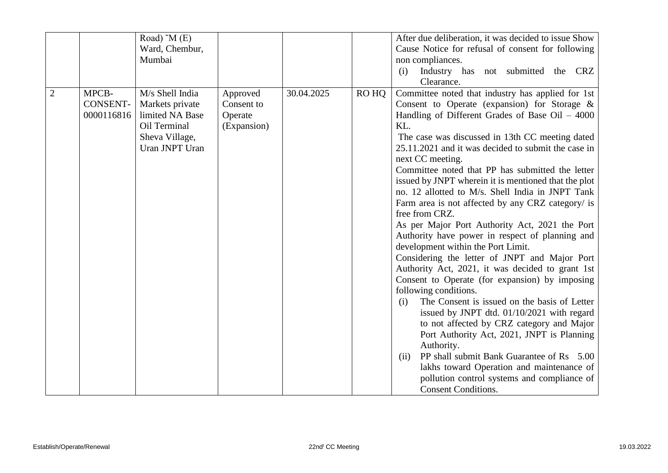|                |                                        | Road) $^{\sim}$ M (E)                                                                                     |                                                  |            |       | After due deliberation, it was decided to issue Show                                                                                                                                                                                                                                                                                                                                                                                                                                                                                                                                                                                                                                                                                                                                                                                                                                                                                                                                                                                                                                                                                                                            |
|----------------|----------------------------------------|-----------------------------------------------------------------------------------------------------------|--------------------------------------------------|------------|-------|---------------------------------------------------------------------------------------------------------------------------------------------------------------------------------------------------------------------------------------------------------------------------------------------------------------------------------------------------------------------------------------------------------------------------------------------------------------------------------------------------------------------------------------------------------------------------------------------------------------------------------------------------------------------------------------------------------------------------------------------------------------------------------------------------------------------------------------------------------------------------------------------------------------------------------------------------------------------------------------------------------------------------------------------------------------------------------------------------------------------------------------------------------------------------------|
|                |                                        | Ward, Chembur,                                                                                            |                                                  |            |       | Cause Notice for refusal of consent for following                                                                                                                                                                                                                                                                                                                                                                                                                                                                                                                                                                                                                                                                                                                                                                                                                                                                                                                                                                                                                                                                                                                               |
|                |                                        | Mumbai                                                                                                    |                                                  |            |       | non compliances.                                                                                                                                                                                                                                                                                                                                                                                                                                                                                                                                                                                                                                                                                                                                                                                                                                                                                                                                                                                                                                                                                                                                                                |
|                |                                        |                                                                                                           |                                                  |            |       | Industry has not submitted the CRZ<br>(i)                                                                                                                                                                                                                                                                                                                                                                                                                                                                                                                                                                                                                                                                                                                                                                                                                                                                                                                                                                                                                                                                                                                                       |
|                |                                        |                                                                                                           |                                                  |            |       | Clearance.                                                                                                                                                                                                                                                                                                                                                                                                                                                                                                                                                                                                                                                                                                                                                                                                                                                                                                                                                                                                                                                                                                                                                                      |
| $\overline{2}$ | MPCB-<br><b>CONSENT-</b><br>0000116816 | M/s Shell India<br>Markets private<br>limited NA Base<br>Oil Terminal<br>Sheva Village,<br>Uran JNPT Uran | Approved<br>Consent to<br>Operate<br>(Expansion) | 30.04.2025 | RO HQ | Committee noted that industry has applied for 1st<br>Consent to Operate (expansion) for Storage $\&$<br>Handling of Different Grades of Base Oil $-4000$<br>KL.<br>The case was discussed in 13th CC meeting dated<br>25.11.2021 and it was decided to submit the case in<br>next CC meeting.<br>Committee noted that PP has submitted the letter<br>issued by JNPT wherein it is mentioned that the plot<br>no. 12 allotted to M/s. Shell India in JNPT Tank<br>Farm area is not affected by any CRZ category/ is<br>free from CRZ.<br>As per Major Port Authority Act, 2021 the Port<br>Authority have power in respect of planning and<br>development within the Port Limit.<br>Considering the letter of JNPT and Major Port<br>Authority Act, 2021, it was decided to grant 1st<br>Consent to Operate (for expansion) by imposing<br>following conditions.<br>The Consent is issued on the basis of Letter<br>(i)<br>issued by JNPT dtd. 01/10/2021 with regard<br>to not affected by CRZ category and Major<br>Port Authority Act, 2021, JNPT is Planning<br>Authority.<br>PP shall submit Bank Guarantee of Rs 5.00<br>(ii)<br>lakhs toward Operation and maintenance of |
|                |                                        |                                                                                                           |                                                  |            |       | pollution control systems and compliance of<br><b>Consent Conditions.</b>                                                                                                                                                                                                                                                                                                                                                                                                                                                                                                                                                                                                                                                                                                                                                                                                                                                                                                                                                                                                                                                                                                       |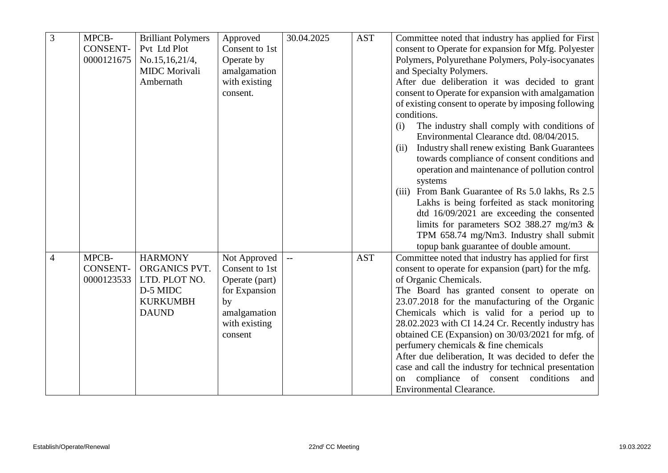| 3              | MPCB-           | <b>Brilliant Polymers</b> | Approved       | 30.04.2025 | <b>AST</b> | Committee noted that industry has applied for First          |
|----------------|-----------------|---------------------------|----------------|------------|------------|--------------------------------------------------------------|
|                | <b>CONSENT-</b> | Pvt Ltd Plot              | Consent to 1st |            |            | consent to Operate for expansion for Mfg. Polyester          |
|                | 0000121675      | No.15,16,21/4,            | Operate by     |            |            | Polymers, Polyurethane Polymers, Poly-isocyanates            |
|                |                 | <b>MIDC</b> Morivali      | amalgamation   |            |            | and Specialty Polymers.                                      |
|                |                 | Ambernath                 | with existing  |            |            | After due deliberation it was decided to grant               |
|                |                 |                           | consent.       |            |            | consent to Operate for expansion with amalgamation           |
|                |                 |                           |                |            |            | of existing consent to operate by imposing following         |
|                |                 |                           |                |            |            | conditions.                                                  |
|                |                 |                           |                |            |            | The industry shall comply with conditions of<br>(i)          |
|                |                 |                           |                |            |            | Environmental Clearance dtd. 08/04/2015.                     |
|                |                 |                           |                |            |            | <b>Industry shall renew existing Bank Guarantees</b><br>(ii) |
|                |                 |                           |                |            |            | towards compliance of consent conditions and                 |
|                |                 |                           |                |            |            | operation and maintenance of pollution control               |
|                |                 |                           |                |            |            | systems                                                      |
|                |                 |                           |                |            |            | From Bank Guarantee of Rs 5.0 lakhs, Rs 2.5<br>(iii)         |
|                |                 |                           |                |            |            | Lakhs is being forfeited as stack monitoring                 |
|                |                 |                           |                |            |            | dtd 16/09/2021 are exceeding the consented                   |
|                |                 |                           |                |            |            | limits for parameters SO2 388.27 mg/m3 $\&$                  |
|                |                 |                           |                |            |            | TPM 658.74 mg/Nm3. Industry shall submit                     |
|                |                 |                           |                |            |            | topup bank guarantee of double amount.                       |
| $\overline{4}$ | MPCB-           | <b>HARMONY</b>            | Not Approved   | $\perp$ .  | <b>AST</b> | Committee noted that industry has applied for first          |
|                | <b>CONSENT-</b> | ORGANICS PVT.             | Consent to 1st |            |            | consent to operate for expansion (part) for the mfg.         |
|                | 0000123533      | LTD. PLOT NO.             | Operate (part) |            |            | of Organic Chemicals.                                        |
|                |                 | D-5 MIDC                  | for Expansion  |            |            | The Board has granted consent to operate on                  |
|                |                 | <b>KURKUMBH</b>           | by             |            |            | 23.07.2018 for the manufacturing of the Organic              |
|                |                 | <b>DAUND</b>              | amalgamation   |            |            | Chemicals which is valid for a period up to                  |
|                |                 |                           | with existing  |            |            | 28.02.2023 with CI 14.24 Cr. Recently industry has           |
|                |                 |                           | consent        |            |            | obtained CE (Expansion) on 30/03/2021 for mfg. of            |
|                |                 |                           |                |            |            | perfumery chemicals & fine chemicals                         |
|                |                 |                           |                |            |            | After due deliberation, It was decided to defer the          |
|                |                 |                           |                |            |            | case and call the industry for technical presentation        |
|                |                 |                           |                |            |            | compliance of consent conditions<br>and<br>on                |
|                |                 |                           |                |            |            | <b>Environmental Clearance.</b>                              |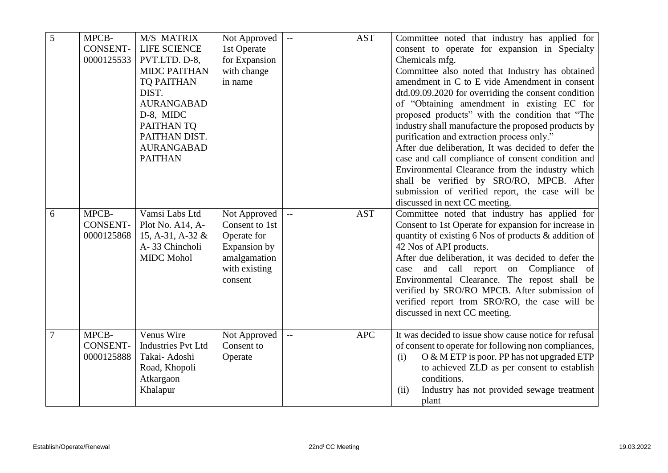| 5              | MPCB-<br><b>CONSENT-</b><br>0000125533 | M/S MATRIX<br><b>LIFE SCIENCE</b><br>PVT.LTD. D-8,<br><b>MIDC PAITHAN</b>                                                          | Not Approved<br>1st Operate<br>for Expansion<br>with change                                               | $\overline{\phantom{a}}$ | <b>AST</b> | Committee noted that industry has applied for<br>consent to operate for expansion in Specialty<br>Chemicals mfg.<br>Committee also noted that Industry has obtained                                                                                                                                                                                                                                                                                                                                                                                                                                       |
|----------------|----------------------------------------|------------------------------------------------------------------------------------------------------------------------------------|-----------------------------------------------------------------------------------------------------------|--------------------------|------------|-----------------------------------------------------------------------------------------------------------------------------------------------------------------------------------------------------------------------------------------------------------------------------------------------------------------------------------------------------------------------------------------------------------------------------------------------------------------------------------------------------------------------------------------------------------------------------------------------------------|
|                |                                        | <b>TQ PAITHAN</b><br>DIST.<br><b>AURANGABAD</b><br>D-8, MIDC<br>PAITHAN TQ<br>PAITHAN DIST.<br><b>AURANGABAD</b><br><b>PAITHAN</b> | in name                                                                                                   |                          |            | amendment in C to E vide Amendment in consent<br>dtd.09.09.2020 for overriding the consent condition<br>of "Obtaining amendment in existing EC for<br>proposed products" with the condition that "The<br>industry shall manufacture the proposed products by<br>purification and extraction process only."<br>After due deliberation, It was decided to defer the<br>case and call compliance of consent condition and<br>Environmental Clearance from the industry which<br>shall be verified by SRO/RO, MPCB. After<br>submission of verified report, the case will be<br>discussed in next CC meeting. |
| 6              | MPCB-<br><b>CONSENT-</b><br>0000125868 | Vamsi Labs Ltd<br>Plot No. A14, A-<br>15, A-31, A-32 $&$<br>A-33 Chincholi<br><b>MIDC</b> Mohol                                    | Not Approved<br>Consent to 1st<br>Operate for<br>Expansion by<br>amalgamation<br>with existing<br>consent | $\mathbf{L}$             | <b>AST</b> | Committee noted that industry has applied for<br>Consent to 1st Operate for expansion for increase in<br>quantity of existing 6 Nos of products & addition of<br>42 Nos of API products.<br>After due deliberation, it was decided to defer the<br>call report on Compliance<br>and<br>case<br>of<br>Environmental Clearance. The repost shall be<br>verified by SRO/RO MPCB. After submission of<br>verified report from SRO/RO, the case will be<br>discussed in next CC meeting.                                                                                                                       |
| $\overline{7}$ | MPCB-<br><b>CONSENT-</b><br>0000125888 | Venus Wire<br><b>Industries Pvt Ltd</b><br>Takai- Adoshi<br>Road, Khopoli<br>Atkargaon<br>Khalapur                                 | Not Approved<br>Consent to<br>Operate                                                                     | $\mathbf{L}$             | <b>APC</b> | It was decided to issue show cause notice for refusal<br>of consent to operate for following non compliances,<br>O & M ETP is poor. PP has not upgraded ETP<br>(i)<br>to achieved ZLD as per consent to establish<br>conditions.<br>Industry has not provided sewage treatment<br>(ii)<br>plant                                                                                                                                                                                                                                                                                                           |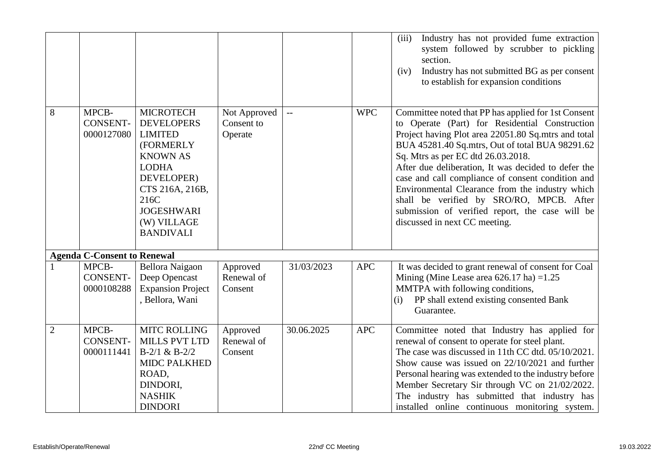|                |                                        |                                                                                                                                                                                                          |                                       |            |            | Industry has not provided fume extraction<br>(iii)<br>system followed by scrubber to pickling<br>section.<br>Industry has not submitted BG as per consent<br>(iv)<br>to establish for expansion conditions                                                                                                                                                                                                                                                                                                                                           |
|----------------|----------------------------------------|----------------------------------------------------------------------------------------------------------------------------------------------------------------------------------------------------------|---------------------------------------|------------|------------|------------------------------------------------------------------------------------------------------------------------------------------------------------------------------------------------------------------------------------------------------------------------------------------------------------------------------------------------------------------------------------------------------------------------------------------------------------------------------------------------------------------------------------------------------|
| 8              | MPCB-<br><b>CONSENT-</b><br>0000127080 | <b>MICROTECH</b><br><b>DEVELOPERS</b><br><b>LIMITED</b><br>(FORMERLY<br><b>KNOWN AS</b><br><b>LODHA</b><br>DEVELOPER)<br>CTS 216A, 216B,<br>216C<br><b>JOGESHWARI</b><br>(W) VILLAGE<br><b>BANDIVALI</b> | Not Approved<br>Consent to<br>Operate | $-$        | <b>WPC</b> | Committee noted that PP has applied for 1st Consent<br>to Operate (Part) for Residential Construction<br>Project having Plot area 22051.80 Sq.mtrs and total<br>BUA 45281.40 Sq.mtrs, Out of total BUA 98291.62<br>Sq. Mtrs as per EC dtd 26.03.2018.<br>After due deliberation, It was decided to defer the<br>case and call compliance of consent condition and<br>Environmental Clearance from the industry which<br>shall be verified by SRO/RO, MPCB. After<br>submission of verified report, the case will be<br>discussed in next CC meeting. |
|                | <b>Agenda C-Consent to Renewal</b>     |                                                                                                                                                                                                          |                                       |            |            |                                                                                                                                                                                                                                                                                                                                                                                                                                                                                                                                                      |
|                | MPCB-<br>CONSENT-<br>0000108288        | Bellora Naigaon<br>Deep Opencast<br><b>Expansion Project</b><br>, Bellora, Wani                                                                                                                          | Approved<br>Renewal of<br>Consent     | 31/03/2023 | <b>APC</b> | It was decided to grant renewal of consent for Coal<br>Mining (Mine Lease area $626.17$ ha) = 1.25<br>MMTPA with following conditions,<br>PP shall extend existing consented Bank<br>(i)<br>Guarantee.                                                                                                                                                                                                                                                                                                                                               |
| $\overline{2}$ | MPCB-<br><b>CONSENT-</b><br>0000111441 | <b>MITC ROLLING</b><br><b>MILLS PVT LTD</b><br>$B-2/1 & B-2/2$<br><b>MIDC PALKHED</b><br>ROAD,<br>DINDORI,<br><b>NASHIK</b><br><b>DINDORI</b>                                                            | Approved<br>Renewal of<br>Consent     | 30.06.2025 | <b>APC</b> | Committee noted that Industry has applied for<br>renewal of consent to operate for steel plant.<br>The case was discussed in 11th CC dtd. 05/10/2021.<br>Show cause was issued on $22/10/2021$ and further<br>Personal hearing was extended to the industry before<br>Member Secretary Sir through VC on 21/02/2022.<br>The industry has submitted that industry has<br>installed online continuous monitoring system.                                                                                                                               |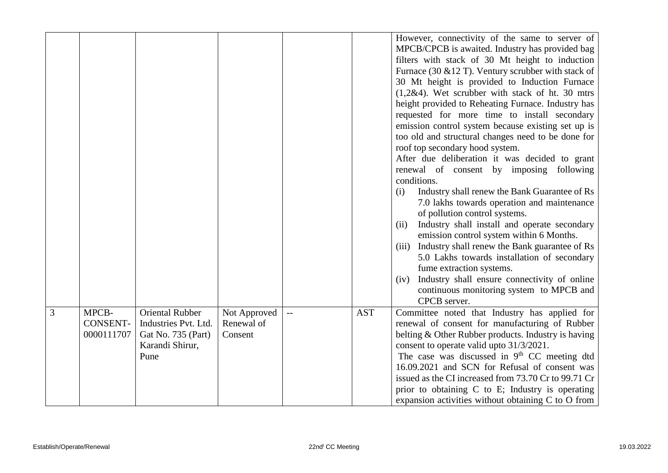|                |                 |                        |              |              |            | However, connectivity of the same to server of                                        |
|----------------|-----------------|------------------------|--------------|--------------|------------|---------------------------------------------------------------------------------------|
|                |                 |                        |              |              |            | MPCB/CPCB is awaited. Industry has provided bag                                       |
|                |                 |                        |              |              |            | filters with stack of 30 Mt height to induction                                       |
|                |                 |                        |              |              |            | Furnace (30 $& 12$ T). Ventury scrubber with stack of                                 |
|                |                 |                        |              |              |            | 30 Mt height is provided to Induction Furnace                                         |
|                |                 |                        |              |              |            | $(1,2\&4)$ . Wet scrubber with stack of ht. 30 mtrs                                   |
|                |                 |                        |              |              |            | height provided to Reheating Furnace. Industry has                                    |
|                |                 |                        |              |              |            | requested for more time to install secondary                                          |
|                |                 |                        |              |              |            | emission control system because existing set up is                                    |
|                |                 |                        |              |              |            | too old and structural changes need to be done for                                    |
|                |                 |                        |              |              |            | roof top secondary hood system.                                                       |
|                |                 |                        |              |              |            | After due deliberation it was decided to grant                                        |
|                |                 |                        |              |              |            | renewal of consent by imposing following                                              |
|                |                 |                        |              |              |            | conditions.                                                                           |
|                |                 |                        |              |              |            | Industry shall renew the Bank Guarantee of Rs<br>(i)                                  |
|                |                 |                        |              |              |            | 7.0 lakhs towards operation and maintenance                                           |
|                |                 |                        |              |              |            | of pollution control systems.<br>Industry shall install and operate secondary<br>(ii) |
|                |                 |                        |              |              |            | emission control system within 6 Months.                                              |
|                |                 |                        |              |              |            | Industry shall renew the Bank guarantee of Rs<br>(iii)                                |
|                |                 |                        |              |              |            | 5.0 Lakhs towards installation of secondary                                           |
|                |                 |                        |              |              |            | fume extraction systems.                                                              |
|                |                 |                        |              |              |            | Industry shall ensure connectivity of online<br>(iv)                                  |
|                |                 |                        |              |              |            | continuous monitoring system to MPCB and                                              |
|                |                 |                        |              |              |            | CPCB server.                                                                          |
| $\overline{3}$ | MPCB-           | <b>Oriental Rubber</b> | Not Approved | $\mathbf{u}$ | <b>AST</b> | Committee noted that Industry has applied for                                         |
|                | <b>CONSENT-</b> | Industries Pvt. Ltd.   | Renewal of   |              |            | renewal of consent for manufacturing of Rubber                                        |
|                | 0000111707      | Gat No. 735 (Part)     | Consent      |              |            | belting & Other Rubber products. Industry is having                                   |
|                |                 | Karandi Shirur,        |              |              |            | consent to operate valid upto 31/3/2021.                                              |
|                |                 | Pune                   |              |              |            | The case was discussed in $9th$ CC meeting dtd                                        |
|                |                 |                        |              |              |            | 16.09.2021 and SCN for Refusal of consent was                                         |
|                |                 |                        |              |              |            | issued as the CI increased from 73.70 Cr to 99.71 Cr                                  |
|                |                 |                        |              |              |            | prior to obtaining C to E; Industry is operating                                      |
|                |                 |                        |              |              |            | expansion activities without obtaining C to O from                                    |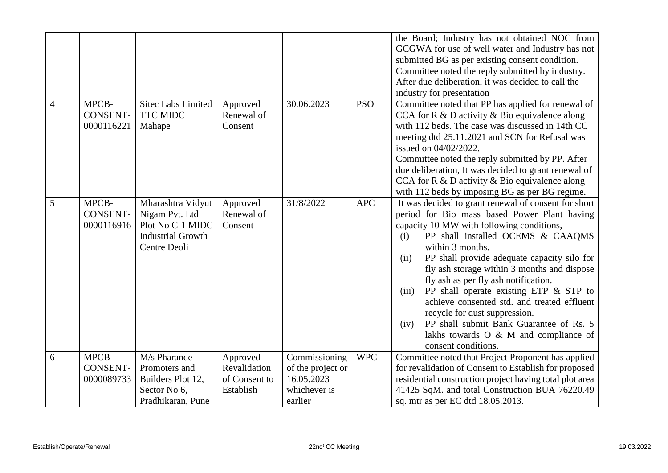|                |                                        |                                                                                                     |                                                        |                                                                             |            | the Board; Industry has not obtained NOC from<br>GCGWA for use of well water and Industry has not<br>submitted BG as per existing consent condition.<br>Committee noted the reply submitted by industry.<br>After due deliberation, it was decided to call the<br>industry for presentation                                                                                                                                                                                                                                                                                                                                |
|----------------|----------------------------------------|-----------------------------------------------------------------------------------------------------|--------------------------------------------------------|-----------------------------------------------------------------------------|------------|----------------------------------------------------------------------------------------------------------------------------------------------------------------------------------------------------------------------------------------------------------------------------------------------------------------------------------------------------------------------------------------------------------------------------------------------------------------------------------------------------------------------------------------------------------------------------------------------------------------------------|
| $\overline{4}$ | MPCB-<br><b>CONSENT-</b><br>0000116221 | <b>Sitec Labs Limited</b><br>TTC MIDC<br>Mahape                                                     | Approved<br>Renewal of<br>Consent                      | 30.06.2023                                                                  | <b>PSO</b> | Committee noted that PP has applied for renewal of<br>CCA for $R \& D$ activity $\&$ Bio equivalence along<br>with 112 beds. The case was discussed in 14th CC<br>meeting dtd 25.11.2021 and SCN for Refusal was<br>issued on 04/02/2022.<br>Committee noted the reply submitted by PP. After<br>due deliberation, It was decided to grant renewal of<br>CCA for $R \& D$ activity $\&$ Bio equivalence along<br>with 112 beds by imposing BG as per BG regime.                                                                                                                                                            |
| 5              | MPCB-<br><b>CONSENT-</b><br>0000116916 | Mharashtra Vidyut<br>Nigam Pvt. Ltd<br>Plot No C-1 MIDC<br><b>Industrial Growth</b><br>Centre Deoli | Approved<br>Renewal of<br>Consent                      | 31/8/2022                                                                   | <b>APC</b> | It was decided to grant renewal of consent for short<br>period for Bio mass based Power Plant having<br>capacity 10 MW with following conditions,<br>PP shall installed OCEMS & CAAQMS<br>(i)<br>within 3 months.<br>PP shall provide adequate capacity silo for<br>(ii)<br>fly ash storage within 3 months and dispose<br>fly ash as per fly ash notification.<br>PP shall operate existing ETP $&$ STP to<br>(iii)<br>achieve consented std. and treated effluent<br>recycle for dust suppression.<br>PP shall submit Bank Guarantee of Rs. 5<br>(iv)<br>lakhs towards $O \& M$ and compliance of<br>consent conditions. |
| 6              | MPCB-<br><b>CONSENT-</b><br>0000089733 | M/s Pharande<br>Promoters and<br>Builders Plot 12,<br>Sector No 6,<br>Pradhikaran, Pune             | Approved<br>Revalidation<br>of Consent to<br>Establish | Commissioning<br>of the project or<br>16.05.2023<br>whichever is<br>earlier | <b>WPC</b> | Committee noted that Project Proponent has applied<br>for revalidation of Consent to Establish for proposed<br>residential construction project having total plot area<br>41425 SqM. and total Construction BUA 76220.49<br>sq. mtr as per EC dtd 18.05.2013.                                                                                                                                                                                                                                                                                                                                                              |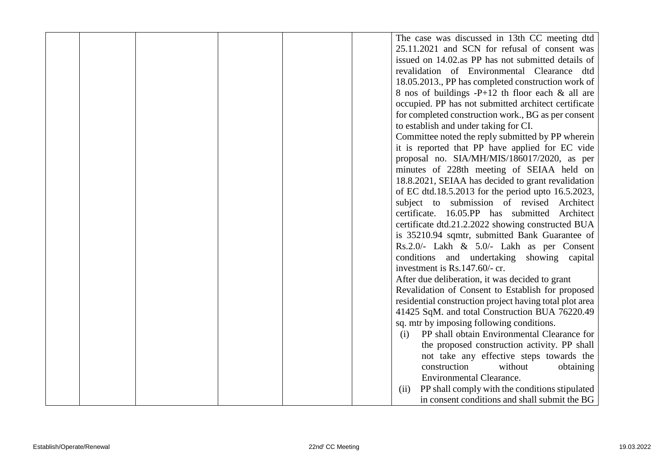|  |  | The case was discussed in 13th CC meeting dtd           |
|--|--|---------------------------------------------------------|
|  |  | 25.11.2021 and SCN for refusal of consent was           |
|  |  | issued on 14.02.as PP has not submitted details of      |
|  |  | revalidation of Environmental Clearance dtd             |
|  |  | 18.05.2013., PP has completed construction work of      |
|  |  | 8 nos of buildings $-P+12$ th floor each & all are      |
|  |  | occupied. PP has not submitted architect certificate    |
|  |  | for completed construction work., BG as per consent     |
|  |  | to establish and under taking for CI.                   |
|  |  | Committee noted the reply submitted by PP wherein       |
|  |  | it is reported that PP have applied for EC vide         |
|  |  | proposal no. SIA/MH/MIS/186017/2020, as per             |
|  |  | minutes of 228th meeting of SEIAA held on               |
|  |  | 18.8.2021, SEIAA has decided to grant revalidation      |
|  |  | of EC dtd.18.5.2013 for the period upto 16.5.2023,      |
|  |  | subject to submission of revised Architect              |
|  |  | certificate. 16.05.PP has submitted Architect           |
|  |  | certificate dtd.21.2.2022 showing constructed BUA       |
|  |  | is 35210.94 sqmtr, submitted Bank Guarantee of          |
|  |  | Rs.2.0/- Lakh & 5.0/- Lakh as per Consent               |
|  |  | conditions and undertaking showing capital              |
|  |  | investment is Rs.147.60/- cr.                           |
|  |  | After due deliberation, it was decided to grant         |
|  |  | Revalidation of Consent to Establish for proposed       |
|  |  | residential construction project having total plot area |
|  |  | 41425 SqM. and total Construction BUA 76220.49          |
|  |  | sq. mtr by imposing following conditions.               |
|  |  | PP shall obtain Environmental Clearance for<br>(i)      |
|  |  | the proposed construction activity. PP shall            |
|  |  | not take any effective steps towards the                |
|  |  | construction<br>without<br>obtaining                    |
|  |  | <b>Environmental Clearance.</b>                         |
|  |  | PP shall comply with the conditions stipulated<br>(ii)  |
|  |  | in consent conditions and shall submit the BG           |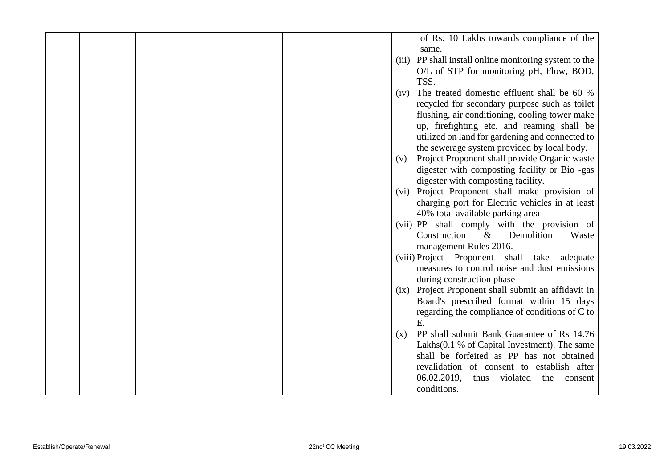|  |  |      | of Rs. 10 Lakhs towards compliance of the              |
|--|--|------|--------------------------------------------------------|
|  |  |      | same.                                                  |
|  |  |      | (iii) PP shall install online monitoring system to the |
|  |  |      | O/L of STP for monitoring pH, Flow, BOD,               |
|  |  |      | TSS.                                                   |
|  |  | (iv) | The treated domestic effluent shall be 60 %            |
|  |  |      | recycled for secondary purpose such as toilet          |
|  |  |      | flushing, air conditioning, cooling tower make         |
|  |  |      | up, firefighting etc. and reaming shall be             |
|  |  |      | utilized on land for gardening and connected to        |
|  |  |      | the sewerage system provided by local body.            |
|  |  | (v)  | Project Proponent shall provide Organic waste          |
|  |  |      | digester with composting facility or Bio -gas          |
|  |  |      | digester with composting facility.                     |
|  |  | (vi) | Project Proponent shall make provision of              |
|  |  |      | charging port for Electric vehicles in at least        |
|  |  |      | 40% total available parking area                       |
|  |  |      | (vii) PP shall comply with the provision of            |
|  |  |      | Construction<br>Demolition<br>$\&$<br>Waste            |
|  |  |      | management Rules 2016.                                 |
|  |  |      | (viii) Project Proponent shall take adequate           |
|  |  |      | measures to control noise and dust emissions           |
|  |  |      | during construction phase                              |
|  |  | (ix) | Project Proponent shall submit an affidavit in         |
|  |  |      | Board's prescribed format within 15 days               |
|  |  |      | regarding the compliance of conditions of C to         |
|  |  |      | E.                                                     |
|  |  | (x)  | PP shall submit Bank Guarantee of Rs 14.76             |
|  |  |      | Lakhs(0.1 % of Capital Investment). The same           |
|  |  |      | shall be forfeited as PP has not obtained              |
|  |  |      | revalidation of consent to establish after             |
|  |  |      | 06.02.2019,<br>thus<br>violated<br>the<br>consent      |
|  |  |      | conditions.                                            |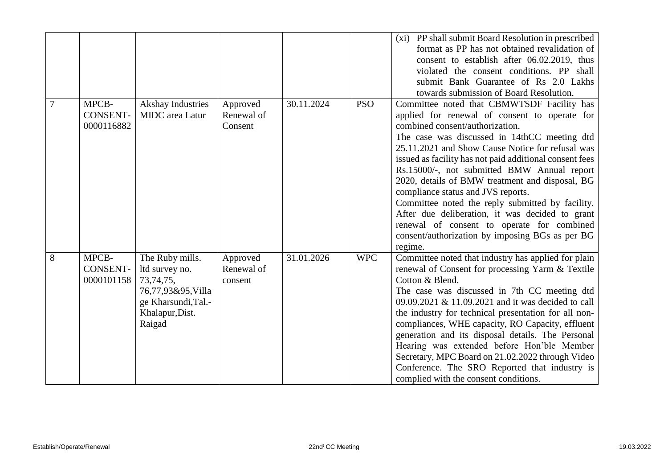|   |                 |                          |            |            |            | (xi) PP shall submit Board Resolution in prescribed     |
|---|-----------------|--------------------------|------------|------------|------------|---------------------------------------------------------|
|   |                 |                          |            |            |            | format as PP has not obtained revalidation of           |
|   |                 |                          |            |            |            | consent to establish after 06.02.2019, thus             |
|   |                 |                          |            |            |            | violated the consent conditions. PP shall               |
|   |                 |                          |            |            |            | submit Bank Guarantee of Rs 2.0 Lakhs                   |
|   |                 |                          |            |            |            | towards submission of Board Resolution.                 |
| 7 | MPCB-           | <b>Akshay Industries</b> | Approved   | 30.11.2024 | <b>PSO</b> | Committee noted that CBMWTSDF Facility has              |
|   | <b>CONSENT-</b> | <b>MIDC</b> area Latur   | Renewal of |            |            | applied for renewal of consent to operate for           |
|   | 0000116882      |                          | Consent    |            |            | combined consent/authorization.                         |
|   |                 |                          |            |            |            | The case was discussed in 14thCC meeting dtd            |
|   |                 |                          |            |            |            | 25.11.2021 and Show Cause Notice for refusal was        |
|   |                 |                          |            |            |            | issued as facility has not paid additional consent fees |
|   |                 |                          |            |            |            | Rs.15000/-, not submitted BMW Annual report             |
|   |                 |                          |            |            |            | 2020, details of BMW treatment and disposal, BG         |
|   |                 |                          |            |            |            | compliance status and JVS reports.                      |
|   |                 |                          |            |            |            | Committee noted the reply submitted by facility.        |
|   |                 |                          |            |            |            | After due deliberation, it was decided to grant         |
|   |                 |                          |            |            |            | renewal of consent to operate for combined              |
|   |                 |                          |            |            |            | consent/authorization by imposing BGs as per BG         |
|   |                 |                          |            |            |            | regime.                                                 |
| 8 | MPCB-           | The Ruby mills.          | Approved   | 31.01.2026 | <b>WPC</b> | Committee noted that industry has applied for plain     |
|   | <b>CONSENT-</b> | ltd survey no.           | Renewal of |            |            | renewal of Consent for processing Yarm & Textile        |
|   | 0000101158      | 73,74,75,                | consent    |            |            | Cotton & Blend.                                         |
|   |                 | 76,77,93&95,Villa        |            |            |            | The case was discussed in 7th CC meeting dtd            |
|   |                 | ge Kharsundi, Tal.-      |            |            |            | 09.09.2021 & 11.09.2021 and it was decided to call      |
|   |                 | Khalapur, Dist.          |            |            |            | the industry for technical presentation for all non-    |
|   |                 | Raigad                   |            |            |            | compliances, WHE capacity, RO Capacity, effluent        |
|   |                 |                          |            |            |            | generation and its disposal details. The Personal       |
|   |                 |                          |            |            |            | Hearing was extended before Hon'ble Member              |
|   |                 |                          |            |            |            | Secretary, MPC Board on 21.02.2022 through Video        |
|   |                 |                          |            |            |            | Conference. The SRO Reported that industry is           |
|   |                 |                          |            |            |            | complied with the consent conditions.                   |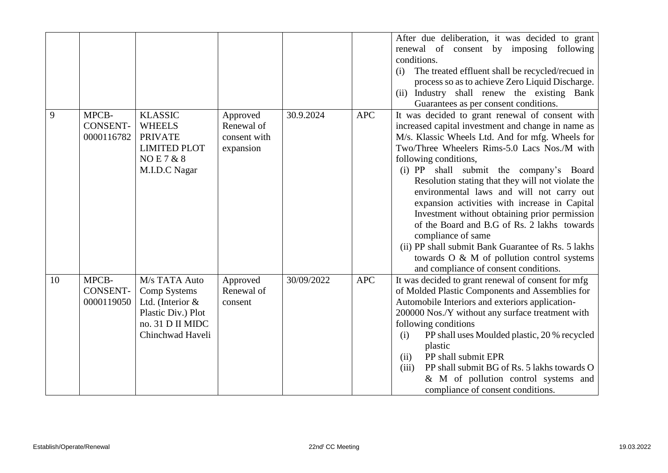|    |                                        |                                                                                                                   |                                                     |            |            | After due deliberation, it was decided to grant<br>renewal of consent by imposing following<br>conditions.<br>The treated effluent shall be recycled/recued in<br>(i)<br>process so as to achieve Zero Liquid Discharge.<br>(ii) Industry shall renew the existing Bank                                                                                                                                                                                                                                                                                                                                                                               |
|----|----------------------------------------|-------------------------------------------------------------------------------------------------------------------|-----------------------------------------------------|------------|------------|-------------------------------------------------------------------------------------------------------------------------------------------------------------------------------------------------------------------------------------------------------------------------------------------------------------------------------------------------------------------------------------------------------------------------------------------------------------------------------------------------------------------------------------------------------------------------------------------------------------------------------------------------------|
| 9  | MPCB-<br><b>CONSENT-</b><br>0000116782 | <b>KLASSIC</b><br><b>WHEELS</b><br><b>PRIVATE</b><br><b>LIMITED PLOT</b><br><b>NOE7&amp;8</b><br>M.I.D.C Nagar    | Approved<br>Renewal of<br>consent with<br>expansion | 30.9.2024  | <b>APC</b> | Guarantees as per consent conditions.<br>It was decided to grant renewal of consent with<br>increased capital investment and change in name as<br>M/s. Klassic Wheels Ltd. And for mfg. Wheels for<br>Two/Three Wheelers Rims-5.0 Lacs Nos./M with<br>following conditions,<br>(i) PP shall submit the company's Board<br>Resolution stating that they will not violate the<br>environmental laws and will not carry out<br>expansion activities with increase in Capital<br>Investment without obtaining prior permission<br>of the Board and B.G of Rs. 2 lakhs towards<br>compliance of same<br>(ii) PP shall submit Bank Guarantee of Rs. 5 lakhs |
| 10 | MPCB-<br><b>CONSENT-</b><br>0000119050 | M/s TATA Auto<br>Comp Systems<br>Ltd. (Interior $&$<br>Plastic Div.) Plot<br>no. 31 D II MIDC<br>Chinchwad Haveli | Approved<br>Renewal of<br>consent                   | 30/09/2022 | <b>APC</b> | towards O & M of pollution control systems<br>and compliance of consent conditions.<br>It was decided to grant renewal of consent for mfg<br>of Molded Plastic Components and Assemblies for<br>Automobile Interiors and exteriors application-<br>200000 Nos./Y without any surface treatment with<br>following conditions<br>PP shall uses Moulded plastic, 20 % recycled<br>(i)<br>plastic<br>PP shall submit EPR<br>(ii)<br>PP shall submit BG of Rs. 5 lakhs towards O<br>(iii)<br>& M of pollution control systems and<br>compliance of consent conditions.                                                                                     |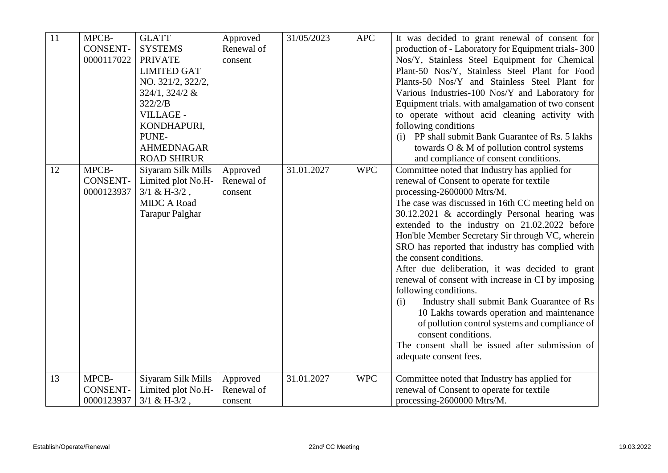| $\overline{11}$ | MPCB-<br><b>CONSENT-</b><br>0000117022 | <b>GLATT</b><br><b>SYSTEMS</b><br><b>PRIVATE</b><br><b>LIMITED GAT</b><br>NO. 321/2, 322/2,<br>324/1, 324/2 &<br>322/2/B<br>VILLAGE -<br>KONDHAPURI,<br>PUNE- | Approved<br>Renewal of<br>consent | 31/05/2023 | <b>APC</b> | It was decided to grant renewal of consent for<br>production of - Laboratory for Equipment trials-300<br>Nos/Y, Stainless Steel Equipment for Chemical<br>Plant-50 Nos/Y, Stainless Steel Plant for Food<br>Plants-50 Nos/Y and Stainless Steel Plant for<br>Various Industries-100 Nos/Y and Laboratory for<br>Equipment trials. with amalgamation of two consent<br>to operate without acid cleaning activity with<br>following conditions<br>(i) PP shall submit Bank Guarantee of Rs. 5 lakhs                                                                                                                                                                                                                                                                                                             |
|-----------------|----------------------------------------|---------------------------------------------------------------------------------------------------------------------------------------------------------------|-----------------------------------|------------|------------|---------------------------------------------------------------------------------------------------------------------------------------------------------------------------------------------------------------------------------------------------------------------------------------------------------------------------------------------------------------------------------------------------------------------------------------------------------------------------------------------------------------------------------------------------------------------------------------------------------------------------------------------------------------------------------------------------------------------------------------------------------------------------------------------------------------|
|                 |                                        | <b>AHMEDNAGAR</b><br><b>ROAD SHIRUR</b>                                                                                                                       |                                   |            |            | towards O & M of pollution control systems<br>and compliance of consent conditions.                                                                                                                                                                                                                                                                                                                                                                                                                                                                                                                                                                                                                                                                                                                           |
| 12              | MPCB-<br><b>CONSENT-</b><br>0000123937 | Siyaram Silk Mills<br>Limited plot No.H-<br>$3/1$ & H-3/2,<br><b>MIDC A Road</b><br><b>Tarapur Palghar</b>                                                    | Approved<br>Renewal of<br>consent | 31.01.2027 | <b>WPC</b> | Committee noted that Industry has applied for<br>renewal of Consent to operate for textile<br>processing-2600000 Mtrs/M.<br>The case was discussed in 16th CC meeting held on<br>30.12.2021 & accordingly Personal hearing was<br>extended to the industry on 21.02.2022 before<br>Hon'ble Member Secretary Sir through VC, wherein<br>SRO has reported that industry has complied with<br>the consent conditions.<br>After due deliberation, it was decided to grant<br>renewal of consent with increase in CI by imposing<br>following conditions.<br>Industry shall submit Bank Guarantee of Rs<br>(i)<br>10 Lakhs towards operation and maintenance<br>of pollution control systems and compliance of<br>consent conditions.<br>The consent shall be issued after submission of<br>adequate consent fees. |
| 13              | MPCB-<br><b>CONSENT-</b>               | Siyaram Silk Mills<br>Limited plot No.H-                                                                                                                      | Approved<br>Renewal of            | 31.01.2027 | <b>WPC</b> | Committee noted that Industry has applied for<br>renewal of Consent to operate for textile                                                                                                                                                                                                                                                                                                                                                                                                                                                                                                                                                                                                                                                                                                                    |
|                 | 0000123937                             | $3/1$ & H-3/2,                                                                                                                                                | consent                           |            |            | processing-2600000 Mtrs/M.                                                                                                                                                                                                                                                                                                                                                                                                                                                                                                                                                                                                                                                                                                                                                                                    |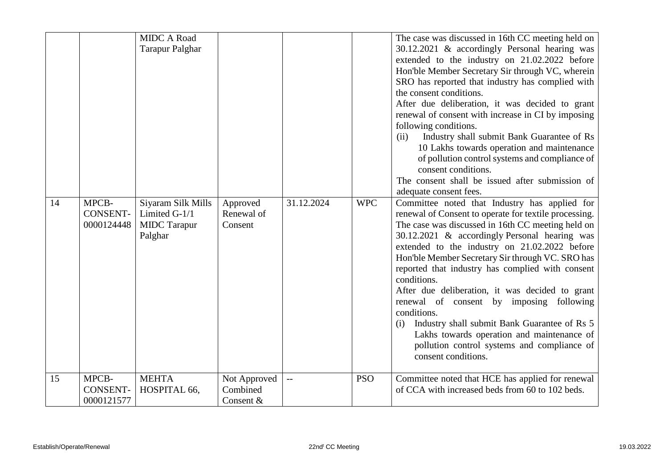|    |                                        | <b>MIDC A Road</b><br><b>Tarapur Palghar</b>                          |                                       |                         |            | The case was discussed in 16th CC meeting held on<br>30.12.2021 & accordingly Personal hearing was<br>extended to the industry on 21.02.2022 before<br>Hon'ble Member Secretary Sir through VC, wherein<br>SRO has reported that industry has complied with<br>the consent conditions.<br>After due deliberation, it was decided to grant<br>renewal of consent with increase in CI by imposing<br>following conditions.<br>Industry shall submit Bank Guarantee of Rs<br>(ii)<br>10 Lakhs towards operation and maintenance<br>of pollution control systems and compliance of<br>consent conditions.<br>The consent shall be issued after submission of<br>adequate consent fees. |
|----|----------------------------------------|-----------------------------------------------------------------------|---------------------------------------|-------------------------|------------|------------------------------------------------------------------------------------------------------------------------------------------------------------------------------------------------------------------------------------------------------------------------------------------------------------------------------------------------------------------------------------------------------------------------------------------------------------------------------------------------------------------------------------------------------------------------------------------------------------------------------------------------------------------------------------|
| 14 | MPCB-<br><b>CONSENT-</b><br>0000124448 | Siyaram Silk Mills<br>Limited G-1/1<br><b>MIDC</b> Tarapur<br>Palghar | Approved<br>Renewal of<br>Consent     | 31.12.2024              | <b>WPC</b> | Committee noted that Industry has applied for<br>renewal of Consent to operate for textile processing.<br>The case was discussed in 16th CC meeting held on<br>30.12.2021 & accordingly Personal hearing was<br>extended to the industry on 21.02.2022 before<br>Hon'ble Member Secretary Sir through VC. SRO has<br>reported that industry has complied with consent<br>conditions.<br>After due deliberation, it was decided to grant<br>renewal of consent by imposing following<br>conditions.<br>Industry shall submit Bank Guarantee of Rs 5<br>(i)<br>Lakhs towards operation and maintenance of<br>pollution control systems and compliance of<br>consent conditions.      |
| 15 | MPCB-<br><b>CONSENT-</b><br>0000121577 | <b>MEHTA</b><br>HOSPITAL 66,                                          | Not Approved<br>Combined<br>Consent & | $\mathbb{L} \mathbb{L}$ | <b>PSO</b> | Committee noted that HCE has applied for renewal<br>of CCA with increased beds from 60 to 102 beds.                                                                                                                                                                                                                                                                                                                                                                                                                                                                                                                                                                                |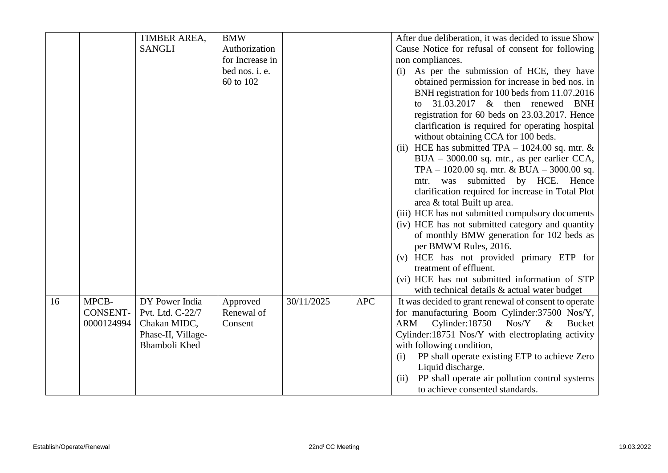|    |                               | TIMBER AREA,                               | <b>BMW</b>             |            |            | After due deliberation, it was decided to issue Show                           |
|----|-------------------------------|--------------------------------------------|------------------------|------------|------------|--------------------------------------------------------------------------------|
|    |                               | <b>SANGLI</b>                              | Authorization          |            |            | Cause Notice for refusal of consent for following                              |
|    |                               |                                            | for Increase in        |            |            | non compliances.                                                               |
|    |                               |                                            | bed nos. i. e.         |            |            | As per the submission of HCE, they have<br>(i)                                 |
|    |                               |                                            | 60 to 102              |            |            | obtained permission for increase in bed nos. in                                |
|    |                               |                                            |                        |            |            | BNH registration for 100 beds from 11.07.2016                                  |
|    |                               |                                            |                        |            |            | to $31.03.2017$ & then renewed BNH                                             |
|    |                               |                                            |                        |            |            | registration for 60 beds on 23.03.2017. Hence                                  |
|    |                               |                                            |                        |            |            | clarification is required for operating hospital                               |
|    |                               |                                            |                        |            |            | without obtaining CCA for 100 beds.                                            |
|    |                               |                                            |                        |            |            | HCE has submitted TPA $- 1024.00$ sq. mtr. &<br>(ii)                           |
|    |                               |                                            |                        |            |            | $BUA - 3000.00$ sq. mtr., as per earlier CCA,                                  |
|    |                               |                                            |                        |            |            | TPA $- 1020.00$ sq. mtr. & BUA $- 3000.00$ sq.                                 |
|    |                               |                                            |                        |            |            | mtr. was submitted by HCE. Hence                                               |
|    |                               |                                            |                        |            |            | clarification required for increase in Total Plot                              |
|    |                               |                                            |                        |            |            | area & total Built up area.                                                    |
|    |                               |                                            |                        |            |            | (iii) HCE has not submitted compulsory documents                               |
|    |                               |                                            |                        |            |            | (iv) HCE has not submitted category and quantity                               |
|    |                               |                                            |                        |            |            | of monthly BMW generation for 102 beds as                                      |
|    |                               |                                            |                        |            |            | per BMWM Rules, 2016.                                                          |
|    |                               |                                            |                        |            |            | (v) HCE has not provided primary ETP for                                       |
|    |                               |                                            |                        |            |            | treatment of effluent.                                                         |
|    |                               |                                            |                        |            |            | (vi) HCE has not submitted information of STP                                  |
|    | MPCB-                         | DY Power India                             |                        | 30/11/2025 | <b>APC</b> | with technical details & actual water budget                                   |
| 16 |                               |                                            | Approved<br>Renewal of |            |            | It was decided to grant renewal of consent to operate                          |
|    | <b>CONSENT-</b><br>0000124994 | Pvt. Ltd. C-22/7                           | Consent                |            |            | for manufacturing Boom Cylinder: 37500 Nos/Y,<br>Nos/Y<br>$\&$                 |
|    |                               | Chakan MIDC,                               |                        |            |            | Cylinder: 18750<br>ARM<br><b>Bucket</b>                                        |
|    |                               | Phase-II, Village-<br><b>Bhamboli Khed</b> |                        |            |            | Cylinder:18751 Nos/Y with electroplating activity<br>with following condition, |
|    |                               |                                            |                        |            |            | PP shall operate existing ETP to achieve Zero<br>(i)                           |
|    |                               |                                            |                        |            |            | Liquid discharge.                                                              |
|    |                               |                                            |                        |            |            | PP shall operate air pollution control systems<br>(ii)                         |
|    |                               |                                            |                        |            |            | to achieve consented standards.                                                |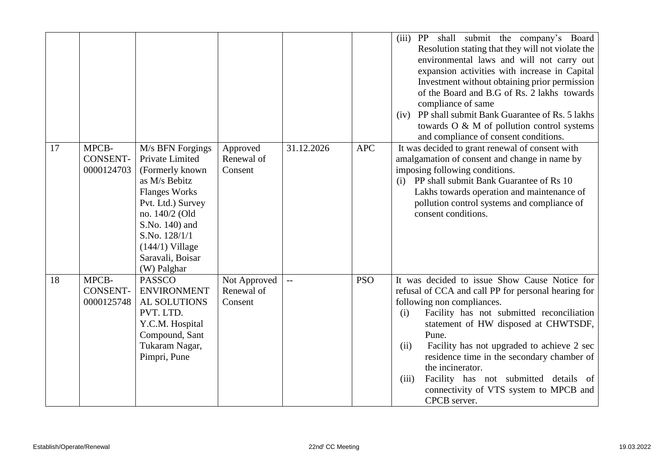|    |                                        |                                                                                                                                                                                                                                   |                                       |                          |            | PP shall submit the company's Board<br>(iii)<br>Resolution stating that they will not violate the<br>environmental laws and will not carry out<br>expansion activities with increase in Capital<br>Investment without obtaining prior permission<br>of the Board and B.G of Rs. 2 lakhs towards<br>compliance of same<br>PP shall submit Bank Guarantee of Rs. 5 lakhs<br>(iv)<br>towards $O \& M$ of pollution control systems<br>and compliance of consent conditions.    |
|----|----------------------------------------|-----------------------------------------------------------------------------------------------------------------------------------------------------------------------------------------------------------------------------------|---------------------------------------|--------------------------|------------|-----------------------------------------------------------------------------------------------------------------------------------------------------------------------------------------------------------------------------------------------------------------------------------------------------------------------------------------------------------------------------------------------------------------------------------------------------------------------------|
| 17 | MPCB-<br><b>CONSENT-</b><br>0000124703 | M/s BFN Forgings<br>Private Limited<br>(Formerly known<br>as M/s Bebitz<br><b>Flanges Works</b><br>Pvt. Ltd.) Survey<br>no. 140/2 (Old<br>S.No. 140) and<br>S.No. 128/1/1<br>$(144/1)$ Village<br>Saravali, Boisar<br>(W) Palghar | Approved<br>Renewal of<br>Consent     | 31.12.2026               | <b>APC</b> | It was decided to grant renewal of consent with<br>amalgamation of consent and change in name by<br>imposing following conditions.<br>(i) PP shall submit Bank Guarantee of Rs 10<br>Lakhs towards operation and maintenance of<br>pollution control systems and compliance of<br>consent conditions.                                                                                                                                                                       |
| 18 | MPCB-<br><b>CONSENT-</b><br>0000125748 | <b>PASSCO</b><br><b>ENVIRONMENT</b><br><b>AL SOLUTIONS</b><br>PVT. LTD.<br>Y.C.M. Hospital<br>Compound, Sant<br>Tukaram Nagar,<br>Pimpri, Pune                                                                                    | Not Approved<br>Renewal of<br>Consent | $\overline{\phantom{a}}$ | <b>PSO</b> | It was decided to issue Show Cause Notice for<br>refusal of CCA and call PP for personal hearing for<br>following non compliances.<br>Facility has not submitted reconciliation<br>(i)<br>statement of HW disposed at CHWTSDF,<br>Pune.<br>Facility has not upgraded to achieve 2 sec<br>(ii)<br>residence time in the secondary chamber of<br>the incinerator.<br>Facility has not submitted details of<br>(iii)<br>connectivity of VTS system to MPCB and<br>CPCB server. |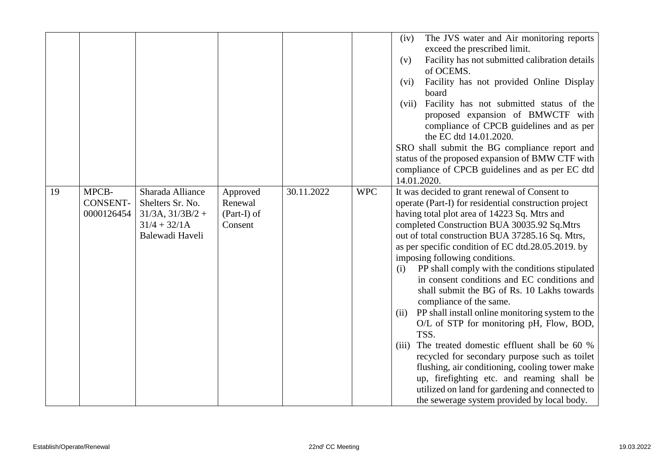|    |                 |                       |             |            |            | The JVS water and Air monitoring reports<br>(iv)                                              |
|----|-----------------|-----------------------|-------------|------------|------------|-----------------------------------------------------------------------------------------------|
|    |                 |                       |             |            |            | exceed the prescribed limit.                                                                  |
|    |                 |                       |             |            |            | Facility has not submitted calibration details<br>(v)                                         |
|    |                 |                       |             |            |            | of OCEMS.                                                                                     |
|    |                 |                       |             |            |            | Facility has not provided Online Display<br>(vi)                                              |
|    |                 |                       |             |            |            | board                                                                                         |
|    |                 |                       |             |            |            | Facility has not submitted status of the<br>(vii)                                             |
|    |                 |                       |             |            |            | proposed expansion of BMWCTF with                                                             |
|    |                 |                       |             |            |            | compliance of CPCB guidelines and as per                                                      |
|    |                 |                       |             |            |            | the EC dtd 14.01.2020.<br>SRO shall submit the BG compliance report and                       |
|    |                 |                       |             |            |            | status of the proposed expansion of BMW CTF with                                              |
|    |                 |                       |             |            |            | compliance of CPCB guidelines and as per EC dtd                                               |
|    |                 |                       |             |            |            | 14.01.2020.                                                                                   |
| 19 | MPCB-           | Sharada Alliance      | Approved    | 30.11.2022 | <b>WPC</b> | It was decided to grant renewal of Consent to                                                 |
|    | <b>CONSENT-</b> | Shelters Sr. No.      | Renewal     |            |            | operate (Part-I) for residential construction project                                         |
|    | 0000126454      | $31/3A$ , $31/3B/2 +$ | (Part-I) of |            |            | having total plot area of 14223 Sq. Mtrs and                                                  |
|    |                 | $31/4 + 32/1A$        | Consent     |            |            | completed Construction BUA 30035.92 Sq.Mtrs                                                   |
|    |                 | Balewadi Haveli       |             |            |            | out of total construction BUA 37285.16 Sq. Mtrs,                                              |
|    |                 |                       |             |            |            | as per specific condition of EC dtd.28.05.2019. by                                            |
|    |                 |                       |             |            |            | imposing following conditions.                                                                |
|    |                 |                       |             |            |            | PP shall comply with the conditions stipulated<br>(i)                                         |
|    |                 |                       |             |            |            | in consent conditions and EC conditions and                                                   |
|    |                 |                       |             |            |            | shall submit the BG of Rs. 10 Lakhs towards                                                   |
|    |                 |                       |             |            |            | compliance of the same.                                                                       |
|    |                 |                       |             |            |            | PP shall install online monitoring system to the<br>(ii)                                      |
|    |                 |                       |             |            |            | O/L of STP for monitoring pH, Flow, BOD,                                                      |
|    |                 |                       |             |            |            | TSS.<br>The treated domestic effluent shall be 60 %                                           |
|    |                 |                       |             |            |            | (iii)<br>recycled for secondary purpose such as toilet                                        |
|    |                 |                       |             |            |            |                                                                                               |
|    |                 |                       |             |            |            |                                                                                               |
|    |                 |                       |             |            |            | flushing, air conditioning, cooling tower make                                                |
|    |                 |                       |             |            |            | up, firefighting etc. and reaming shall be<br>utilized on land for gardening and connected to |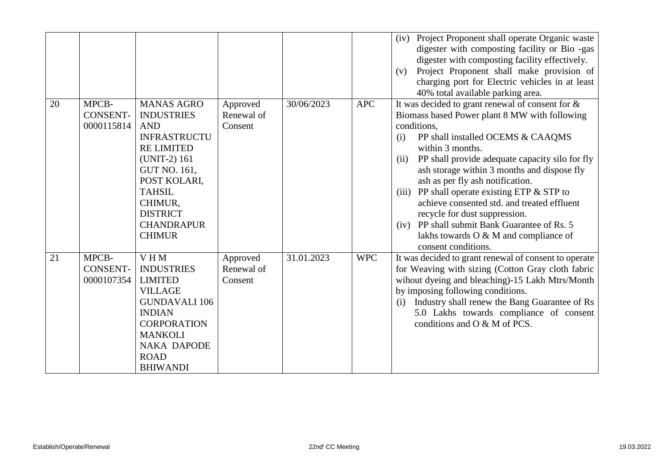|    |                                        |                                                                                                                                                                                                                                              |                                   |            |            | (iv) Project Proponent shall operate Organic waste<br>digester with composting facility or Bio-gas<br>digester with composting facility effectively.<br>Project Proponent shall make provision of<br>(v)<br>charging port for Electric vehicles in at least<br>40% total available parking area.                                                                                                                                                                                                                                                                                        |
|----|----------------------------------------|----------------------------------------------------------------------------------------------------------------------------------------------------------------------------------------------------------------------------------------------|-----------------------------------|------------|------------|-----------------------------------------------------------------------------------------------------------------------------------------------------------------------------------------------------------------------------------------------------------------------------------------------------------------------------------------------------------------------------------------------------------------------------------------------------------------------------------------------------------------------------------------------------------------------------------------|
| 20 | MPCB-<br><b>CONSENT-</b><br>0000115814 | <b>MANAS AGRO</b><br><b>INDUSTRIES</b><br><b>AND</b><br><b>INFRASTRUCTU</b><br><b>RE LIMITED</b><br>(UNIT-2) 161<br><b>GUT NO. 161,</b><br>POST KOLARI,<br><b>TAHSIL</b><br>CHIMUR,<br><b>DISTRICT</b><br><b>CHANDRAPUR</b><br><b>CHIMUR</b> | Approved<br>Renewal of<br>Consent | 30/06/2023 | <b>APC</b> | It was decided to grant renewal of consent for $\&$<br>Biomass based Power plant 8 MW with following<br>conditions,<br>PP shall installed OCEMS & CAAQMS<br>(i)<br>within 3 months.<br>PP shall provide adequate capacity silo for fly<br>(ii)<br>ash storage within 3 months and dispose fly<br>ash as per fly ash notification.<br>PP shall operate existing ETP & STP to<br>(iii)<br>achieve consented std. and treated effluent<br>recycle for dust suppression.<br>PP shall submit Bank Guarantee of Rs. 5<br>(iv)<br>lakhs towards O & M and compliance of<br>consent conditions. |
| 21 | MPCB-<br><b>CONSENT-</b><br>0000107354 | VHM<br><b>INDUSTRIES</b><br><b>LIMITED</b><br><b>VILLAGE</b><br><b>GUNDAVALI 106</b><br><b>INDIAN</b><br><b>CORPORATION</b><br><b>MANKOLI</b><br><b>NAKA DAPODE</b><br><b>ROAD</b><br><b>BHIWANDI</b>                                        | Approved<br>Renewal of<br>Consent | 31.01.2023 | <b>WPC</b> | It was decided to grant renewal of consent to operate<br>for Weaving with sizing (Cotton Gray cloth fabric<br>wihout dyeing and bleaching)-15 Lakh Mtrs/Month<br>by imposing following conditions.<br>Industry shall renew the Bang Guarantee of Rs<br>(i)<br>5.0 Lakhs towards compliance of consent<br>conditions and O & M of PCS.                                                                                                                                                                                                                                                   |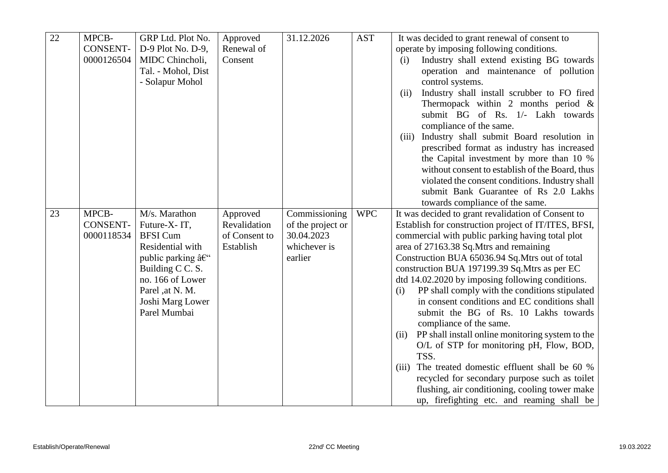| 22 | MPCB-                         | GRP Ltd. Plot No.                      | Approved                      | 31.12.2026                      | <b>AST</b> | It was decided to grant renewal of consent to                                            |
|----|-------------------------------|----------------------------------------|-------------------------------|---------------------------------|------------|------------------------------------------------------------------------------------------|
|    | <b>CONSENT-</b>               | D-9 Plot No. D-9,                      | Renewal of                    |                                 |            | operate by imposing following conditions.                                                |
|    | 0000126504                    | MIDC Chincholi,                        | Consent                       |                                 |            | Industry shall extend existing BG towards<br>(i)                                         |
|    |                               | Tal. - Mohol, Dist                     |                               |                                 |            | operation and maintenance of pollution                                                   |
|    |                               | - Solapur Mohol                        |                               |                                 |            | control systems.                                                                         |
|    |                               |                                        |                               |                                 |            | Industry shall install scrubber to FO fired<br>(ii)                                      |
|    |                               |                                        |                               |                                 |            | Thermopack within 2 months period $\&$                                                   |
|    |                               |                                        |                               |                                 |            | submit BG of Rs. 1/- Lakh towards                                                        |
|    |                               |                                        |                               |                                 |            | compliance of the same.                                                                  |
|    |                               |                                        |                               |                                 |            | Industry shall submit Board resolution in<br>(iii)                                       |
|    |                               |                                        |                               |                                 |            | prescribed format as industry has increased                                              |
|    |                               |                                        |                               |                                 |            | the Capital investment by more than 10 %                                                 |
|    |                               |                                        |                               |                                 |            | without consent to establish of the Board, thus                                          |
|    |                               |                                        |                               |                                 |            | violated the consent conditions. Industry shall                                          |
|    |                               |                                        |                               |                                 |            | submit Bank Guarantee of Rs 2.0 Lakhs                                                    |
|    |                               |                                        |                               |                                 |            | towards compliance of the same.                                                          |
| 23 | MPCB-                         | M/s. Marathon                          | Approved                      | Commissioning                   | <b>WPC</b> | It was decided to grant revalidation of Consent to                                       |
|    | <b>CONSENT-</b><br>0000118534 | Future-X-IT,<br><b>BFSI</b> Cum        | Revalidation<br>of Consent to | of the project or<br>30.04.2023 |            | Establish for construction project of IT/ITES, BFSI,                                     |
|    |                               | Residential with                       | Establish                     | whichever is                    |            | commercial with public parking having total plot                                         |
|    |                               | public parking $\hat{a} \in \tilde{C}$ |                               | earlier                         |            | area of 27163.38 Sq.Mtrs and remaining<br>Construction BUA 65036.94 Sq.Mtrs out of total |
|    |                               | Building C C. S.                       |                               |                                 |            | construction BUA 197199.39 Sq.Mtrs as per EC                                             |
|    |                               | no. 166 of Lower                       |                               |                                 |            | dtd 14.02.2020 by imposing following conditions.                                         |
|    |                               | Parel ,at N. M.                        |                               |                                 |            | PP shall comply with the conditions stipulated<br>(i)                                    |
|    |                               | Joshi Marg Lower                       |                               |                                 |            | in consent conditions and EC conditions shall                                            |
|    |                               | Parel Mumbai                           |                               |                                 |            | submit the BG of Rs. 10 Lakhs towards                                                    |
|    |                               |                                        |                               |                                 |            | compliance of the same.                                                                  |
|    |                               |                                        |                               |                                 |            | PP shall install online monitoring system to the<br>(ii)                                 |
|    |                               |                                        |                               |                                 |            | O/L of STP for monitoring pH, Flow, BOD,                                                 |
|    |                               |                                        |                               |                                 |            | TSS.                                                                                     |
|    |                               |                                        |                               |                                 |            | The treated domestic effluent shall be 60 %<br>(iii)                                     |
|    |                               |                                        |                               |                                 |            | recycled for secondary purpose such as toilet                                            |
|    |                               |                                        |                               |                                 |            | flushing, air conditioning, cooling tower make                                           |
|    |                               |                                        |                               |                                 |            | up, firefighting etc. and reaming shall be                                               |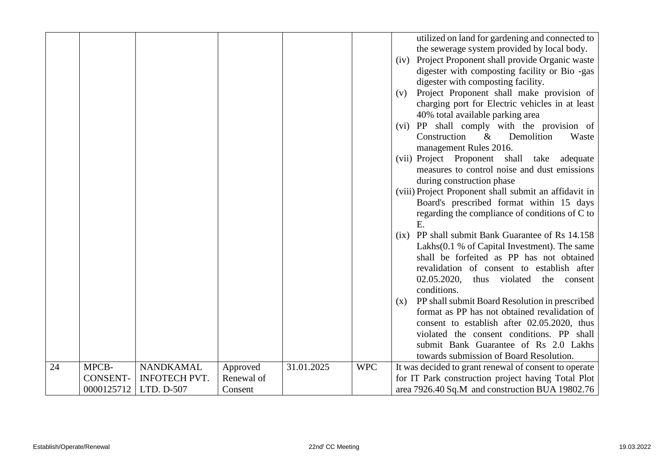|    |                 |                      |            |            |            | utilized on land for gardening and connected to<br>the sewerage system provided by local body.<br>Project Proponent shall provide Organic waste<br>(iv)<br>digester with composting facility or Bio -gas<br>digester with composting facility.<br>Project Proponent shall make provision of<br>(v) |
|----|-----------------|----------------------|------------|------------|------------|----------------------------------------------------------------------------------------------------------------------------------------------------------------------------------------------------------------------------------------------------------------------------------------------------|
|    |                 |                      |            |            |            | charging port for Electric vehicles in at least<br>40% total available parking area<br>(vi) PP shall comply with the provision of                                                                                                                                                                  |
|    |                 |                      |            |            |            | Construction<br>$\&$<br>Demolition<br>Waste<br>management Rules 2016.                                                                                                                                                                                                                              |
|    |                 |                      |            |            |            | (vii) Project Proponent shall take<br>adequate<br>measures to control noise and dust emissions<br>during construction phase                                                                                                                                                                        |
|    |                 |                      |            |            |            | (viii) Project Proponent shall submit an affidavit in<br>Board's prescribed format within 15 days                                                                                                                                                                                                  |
|    |                 |                      |            |            |            | regarding the compliance of conditions of C to<br>E.                                                                                                                                                                                                                                               |
|    |                 |                      |            |            |            | (ix) PP shall submit Bank Guarantee of Rs 14.158<br>Lakhs(0.1 % of Capital Investment). The same<br>shall be forfeited as PP has not obtained<br>revalidation of consent to establish after<br>02.05.2020,<br>thus violated<br>the consent                                                         |
|    |                 |                      |            |            |            | conditions.<br>PP shall submit Board Resolution in prescribed<br>(x)                                                                                                                                                                                                                               |
|    |                 |                      |            |            |            | format as PP has not obtained revalidation of<br>consent to establish after 02.05.2020, thus                                                                                                                                                                                                       |
|    |                 |                      |            |            |            | violated the consent conditions. PP shall<br>submit Bank Guarantee of Rs 2.0 Lakhs<br>towards submission of Board Resolution.                                                                                                                                                                      |
|    |                 |                      |            |            |            |                                                                                                                                                                                                                                                                                                    |
| 24 | MPCB-           | <b>NANDKAMAL</b>     | Approved   | 31.01.2025 | <b>WPC</b> | It was decided to grant renewal of consent to operate                                                                                                                                                                                                                                              |
|    | <b>CONSENT-</b> | <b>INFOTECH PVT.</b> | Renewal of |            |            | for IT Park construction project having Total Plot                                                                                                                                                                                                                                                 |
|    | 0000125712      | LTD. D-507           | Consent    |            |            | area 7926.40 Sq.M and construction BUA 19802.76                                                                                                                                                                                                                                                    |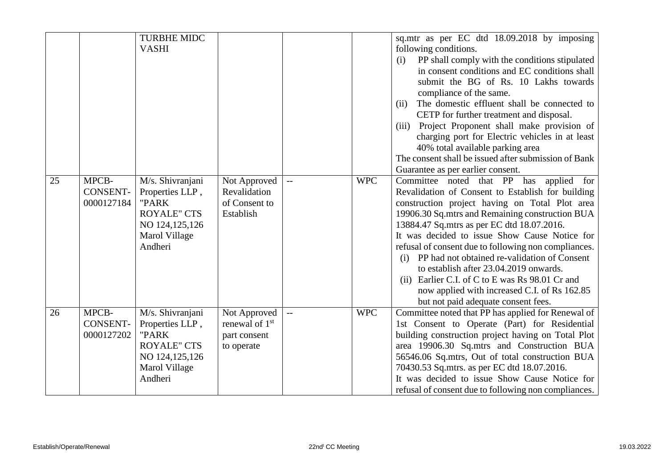| 25 | MPCB-                                  | <b>TURBHE MIDC</b><br><b>VASHI</b><br>M/s. Shivranjani                                                             | Not Approved                                                             |                          | <b>WPC</b> | sq.mtr as per EC dtd 18.09.2018 by imposing<br>following conditions.<br>PP shall comply with the conditions stipulated<br>(i)<br>in consent conditions and EC conditions shall<br>submit the BG of Rs. 10 Lakhs towards<br>compliance of the same.<br>The domestic effluent shall be connected to<br>(ii)<br>CETP for further treatment and disposal.<br>Project Proponent shall make provision of<br>(iii)<br>charging port for Electric vehicles in at least<br>40% total available parking area<br>The consent shall be issued after submission of Bank<br>Guarantee as per earlier consent.<br>Committee noted that PP has applied for |
|----|----------------------------------------|--------------------------------------------------------------------------------------------------------------------|--------------------------------------------------------------------------|--------------------------|------------|--------------------------------------------------------------------------------------------------------------------------------------------------------------------------------------------------------------------------------------------------------------------------------------------------------------------------------------------------------------------------------------------------------------------------------------------------------------------------------------------------------------------------------------------------------------------------------------------------------------------------------------------|
|    | <b>CONSENT-</b><br>0000127184          | Properties LLP,<br>"PARK<br><b>ROYALE" CTS</b><br>NO 124,125,126<br>Marol Village<br>Andheri                       | Revalidation<br>of Consent to<br>Establish                               |                          |            | Revalidation of Consent to Establish for building<br>construction project having on Total Plot area<br>19906.30 Sq.mtrs and Remaining construction BUA<br>13884.47 Sq.mtrs as per EC dtd 18.07.2016.<br>It was decided to issue Show Cause Notice for<br>refusal of consent due to following non compliances.<br>(i) PP had not obtained re-validation of Consent<br>to establish after 23.04.2019 onwards.<br>Earlier C.I. of C to E was Rs 98.01 Cr and<br>(ii)<br>now applied with increased C.I. of Rs 162.85<br>but not paid adequate consent fees.                                                                                   |
| 26 | MPCB-<br><b>CONSENT-</b><br>0000127202 | M/s. Shivranjani<br>Properties LLP,<br>"PARK<br><b>ROYALE" CTS</b><br>NO 124, 125, 126<br>Marol Village<br>Andheri | Not Approved<br>renewal of 1 <sup>st</sup><br>part consent<br>to operate | $\overline{\phantom{a}}$ | <b>WPC</b> | Committee noted that PP has applied for Renewal of<br>1st Consent to Operate (Part) for Residential<br>building construction project having on Total Plot<br>area 19906.30 Sq.mtrs and Construction BUA<br>56546.06 Sq.mtrs, Out of total construction BUA<br>70430.53 Sq.mtrs. as per EC dtd 18.07.2016.<br>It was decided to issue Show Cause Notice for<br>refusal of consent due to following non compliances.                                                                                                                                                                                                                         |